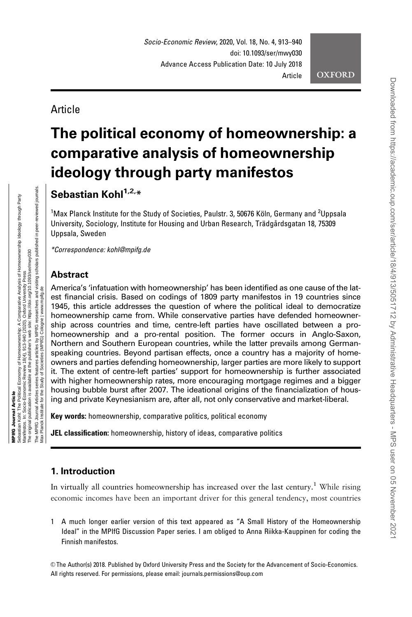Downloaded from https://academic.oup.com/ser/article/18/4/913/5051712 by Administrative Headquarters - MPS user on 05 November 2021

DOWNloaded trom Https://academic.org/com/ser/article/1824/913/5051712 by Administrative Headquarters - MP o user on OS November 2020

Article

# The political economy of homeownership: a comparative analysis of homeownership ideology through party manifestos

Sebastian  $K$ ohl $1,2,*$ 

<sup>1</sup>Max Planck Institute for the Study of Societies, Paulstr. 3, 50676 Köln, Germany and <sup>2</sup>Uppsala University, Sociology, Institute for Housing and Urban Research, Trädgårdsgatan 18, 75309 Uppsala, Sweden

\*Correspondence: kohl@mpifg.de

## **Abstract**

America's 'infatuation with homeownership' has been identified as one cause of the latest financial crisis. Based on codings of 1809 party manifestos in 19 countries since 1945, this article addresses the question of where the political ideal to democratize homeownership came from. While conservative parties have defended homeownership across countries and time, centre-left parties have oscillated between a prohomeownership and a pro-rental position. The former occurs in Anglo-Saxon, Northern and Southern European countries, while the latter prevails among Germanspeaking countries. Beyond partisan effects, once a country has a majority of homeowners and parties defending homeownership, larger parties are more likely to support it. The extent of centre-left parties' support for homeownership is further associated with higher homeownership rates, more encouraging mortgage regimes and a bigger housing bubble burst after 2007. The ideational origins of the financialization of housing and private Keynesianism are, after all, not only conservative and market-liberal.

Key words: homeownership, comparative politics, political economy

JEL classification: homeownership, history of ideas, comparative politics

### 1. Introduction

In virtually all countries homeownership has increased over the last century.<sup>1</sup> While rising economic incomes have been an important driver for this general tendency, most countries

1 A much longer earlier version of this text appeared as "A Small History of the Homeownership Ideal" in the MPIfG Discussion Paper series. I am obliged to Anna Riikka-Kauppinen for coding the Finnish manifestos.

V<sup>C</sup> The Author(s) 2018. Published by Oxford University Press and the Society for the Advancement of Socio-Economics. All rights reserved. For permissions, please email: journals.permissions@oup.com

Max Planck Institute for the Study of Societies (MPIfG) Cologne | www.mpifg.de

Institute for the

of Societies (MP

Ô

www.mpifa.de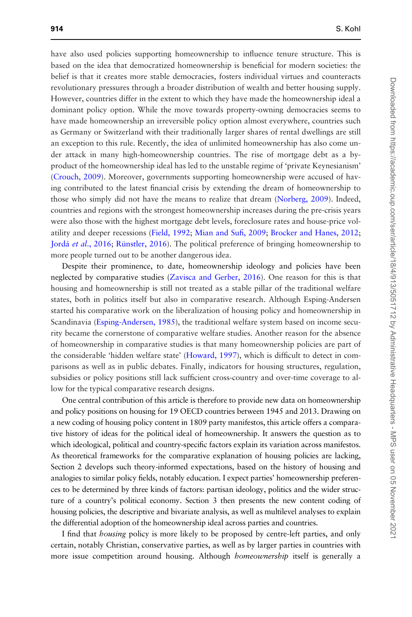have also used policies supporting homeownership to influence tenure structure. This is based on the idea that democratized homeownership is beneficial for modern societies: the belief is that it creates more stable democracies, fosters individual virtues and counteracts revolutionary pressures through a broader distribution of wealth and better housing supply. However, countries differ in the extent to which they have made the homeownership ideal a dominant policy option. While the move towards property-owning democracies seems to have made homeownership an irreversible policy option almost everywhere, countries such as Germany or Switzerland with their traditionally larger shares of rental dwellings are still an exception to this rule. Recently, the idea of unlimited homeownership has also come under attack in many high-homeownership countries. The rise of mortgage debt as a byproduct of the homeownership ideal has led to the unstable regime of 'private Keynesianism' [\(Crouch, 2009\)](#page-21-0). Moreover, governments supporting homeownership were accused of having contributed to the latest financial crisis by extending the dream of homeownership to those who simply did not have the means to realize that dream ([Norberg, 2009\)](#page-23-0). Indeed, countries and regions with the strongest homeownership increases during the pre-crisis years were also those with the highest mortgage debt levels, foreclosure rates and house-price volatility and deeper recessions ([Field, 1992](#page-22-0); [Mian and Sufi, 2009;](#page-23-0) [Brocker and Hanes, 2012](#page-21-0); Jordà et al[., 2016;](#page-22-0) Rünstler, 2016). The political preference of bringing homeownership to more people turned out to be another dangerous idea.

Despite their prominence, to date, homeownership ideology and policies have been neglected by comparative studies [\(Zavisca and Gerber, 2016](#page-24-0)). One reason for this is that housing and homeownership is still not treated as a stable pillar of the traditional welfare states, both in politics itself but also in comparative research. Although Esping-Andersen started his comparative work on the liberalization of housing policy and homeownership in Scandinavia [\(Esping-Andersen, 1985](#page-22-0)), the traditional welfare system based on income security became the cornerstone of comparative welfare studies. Another reason for the absence of homeownership in comparative studies is that many homeownership policies are part of the considerable 'hidden welfare state' ([Howard, 1997](#page-22-0)), which is difficult to detect in comparisons as well as in public debates. Finally, indicators for housing structures, regulation, subsidies or policy positions still lack sufficient cross-country and over-time coverage to allow for the typical comparative research designs.

One central contribution of this article is therefore to provide new data on homeownership and policy positions on housing for 19 OECD countries between 1945 and 2013. Drawing on a new coding of housing policy content in 1809 party manifestos, this article offers a comparative history of ideas for the political ideal of homeownership. It answers the question as to which ideological, political and country-specific factors explain its variation across manifestos. As theoretical frameworks for the comparative explanation of housing policies are lacking, Section 2 develops such theory-informed expectations, based on the history of housing and analogies to similar policy fields, notably education. I expect parties' homeownership preferences to be determined by three kinds of factors: partisan ideology, politics and the wider structure of a country's political economy. Section 3 then presents the new content coding of housing policies, the descriptive and bivariate analysis, as well as multilevel analyses to explain the differential adoption of the homeownership ideal across parties and countries.

I find that housing policy is more likely to be proposed by centre-left parties, and only certain, notably Christian, conservative parties, as well as by larger parties in countries with more issue competition around housing. Although *homeownership* itself is generally a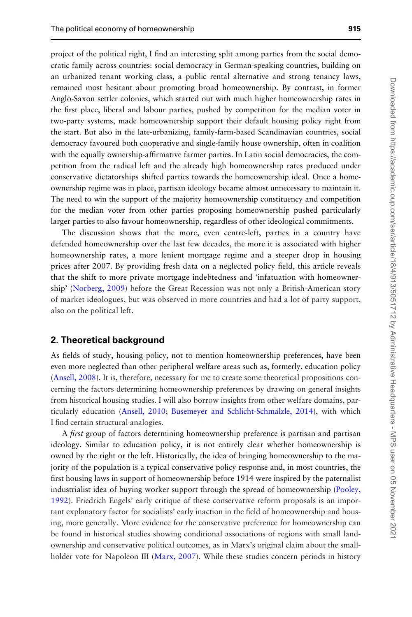project of the political right, I find an interesting split among parties from the social democratic family across countries: social democracy in German-speaking countries, building on an urbanized tenant working class, a public rental alternative and strong tenancy laws, remained most hesitant about promoting broad homeownership. By contrast, in former Anglo-Saxon settler colonies, which started out with much higher homeownership rates in the first place, liberal and labour parties, pushed by competition for the median voter in two-party systems, made homeownership support their default housing policy right from the start. But also in the late-urbanizing, family-farm-based Scandinavian countries, social democracy favoured both cooperative and single-family house ownership, often in coalition with the equally ownership-affirmative farmer parties. In Latin social democracies, the competition from the radical left and the already high homeownership rates produced under conservative dictatorships shifted parties towards the homeownership ideal. Once a homeownership regime was in place, partisan ideology became almost unnecessary to maintain it. The need to win the support of the majority homeownership constituency and competition for the median voter from other parties proposing homeownership pushed particularly larger parties to also favour homeownership, regardless of other ideological commitments.

The discussion shows that the more, even centre-left, parties in a country have defended homeownership over the last few decades, the more it is associated with higher homeownership rates, a more lenient mortgage regime and a steeper drop in housing prices after 2007. By providing fresh data on a neglected policy field, this article reveals that the shift to more private mortgage indebtedness and 'infatuation with homeownership' [\(Norberg, 2009](#page-23-0)) before the Great Recession was not only a British-American story of market ideologues, but was observed in more countries and had a lot of party support, also on the political left.

#### 2. Theoretical background

As fields of study, housing policy, not to mention homeownership preferences, have been even more neglected than other peripheral welfare areas such as, formerly, education policy [\(Ansell, 2008](#page-21-0)). It is, therefore, necessary for me to create some theoretical propositions concerning the factors determining homeownership preferences by drawing on general insights from historical housing studies. I will also borrow insights from other welfare domains, par-ticularly education ([Ansell, 2010;](#page-21-0) Busemeyer and Schlicht-Schmälzle, 2014), with which I find certain structural analogies.

A *first* group of factors determining homeownership preference is partisan and partisan ideology. Similar to education policy, it is not entirely clear whether homeownership is owned by the right or the left. Historically, the idea of bringing homeownership to the majority of the population is a typical conservative policy response and, in most countries, the first housing laws in support of homeownership before 1914 were inspired by the paternalist industrialist idea of buying worker support through the spread of homeownership ([Pooley,](#page-23-0) [1992](#page-23-0)). Friedrich Engels' early critique of these conservative reform proposals is an important explanatory factor for socialists' early inaction in the field of homeownership and housing, more generally. More evidence for the conservative preference for homeownership can be found in historical studies showing conditional associations of regions with small landownership and conservative political outcomes, as in Marx's original claim about the small-holder vote for Napoleon III ([Marx, 2007](#page-23-0)). While these studies concern periods in history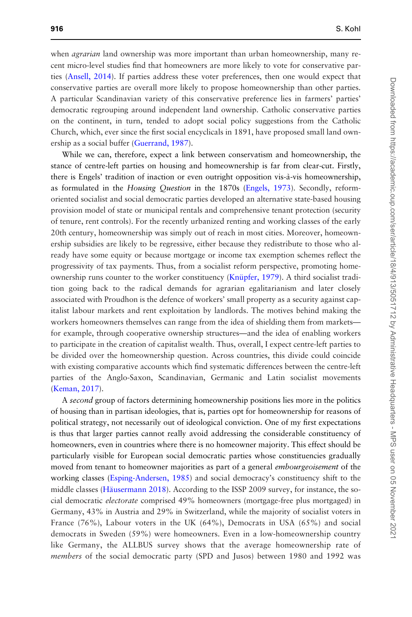when *agrarian* land ownership was more important than urban homeownership, many recent micro-level studies find that homeowners are more likely to vote for conservative parties ([Ansell, 2014\)](#page-21-0). If parties address these voter preferences, then one would expect that conservative parties are overall more likely to propose homeownership than other parties. A particular Scandinavian variety of this conservative preference lies in farmers' parties' democratic regrouping around independent land ownership. Catholic conservative parties on the continent, in turn, tended to adopt social policy suggestions from the Catholic Church, which, ever since the first social encyclicals in 1891, have proposed small land ownership as a social buffer [\(Guerrand, 1987](#page-22-0)).

While we can, therefore, expect a link between conservatism and homeownership, the stance of centre-left parties on housing and homeownership is far from clear-cut. Firstly, there is Engels' tradition of inaction or even outright opposition vis-a`-vis homeownership, as formulated in the Housing Question in the 1870s ([Engels, 1973](#page-21-0)). Secondly, reformoriented socialist and social democratic parties developed an alternative state-based housing provision model of state or municipal rentals and comprehensive tenant protection (security of tenure, rent controls). For the recently urbanized renting and working classes of the early 20th century, homeownership was simply out of reach in most cities. Moreover, homeownership subsidies are likely to be regressive, either because they redistribute to those who already have some equity or because mortgage or income tax exemption schemes reflect the progressivity of tax payments. Thus, from a socialist reform perspective, promoting homeownership runs counter to the worker constituency (Knüpfer, 1979). A third socialist tradition going back to the radical demands for agrarian egalitarianism and later closely associated with Proudhon is the defence of workers' small property as a security against capitalist labour markets and rent exploitation by landlords. The motives behind making the workers homeowners themselves can range from the idea of shielding them from markets for example, through cooperative ownership structures—and the idea of enabling workers to participate in the creation of capitalist wealth. Thus, overall, I expect centre-left parties to be divided over the homeownership question. Across countries, this divide could coincide with existing comparative accounts which find systematic differences between the centre-left parties of the Anglo-Saxon, Scandinavian, Germanic and Latin socialist movements [\(Keman, 2017](#page-22-0)).

A second group of factors determining homeownership positions lies more in the politics of housing than in partisan ideologies, that is, parties opt for homeownership for reasons of political strategy, not necessarily out of ideological conviction. One of my first expectations is thus that larger parties cannot really avoid addressing the considerable constituency of homeowners, even in countries where there is no homeowner majority. This effect should be particularly visible for European social democratic parties whose constituencies gradually moved from tenant to homeowner majorities as part of a general *embourgeoisement* of the working classes [\(Esping-Andersen, 1985\)](#page-22-0) and social democracy's constituency shift to the middle classes (Häusermann 2018). According to the ISSP 2009 survey, for instance, the social democratic electorate comprised 49% homeowners (mortgage-free plus mortgaged) in Germany, 43% in Austria and 29% in Switzerland, while the majority of socialist voters in France (76%), Labour voters in the UK (64%), Democrats in USA (65%) and social democrats in Sweden (59%) were homeowners. Even in a low-homeownership country like Germany, the ALLBUS survey shows that the average homeownership rate of members of the social democratic party (SPD and Jusos) between 1980 and 1992 was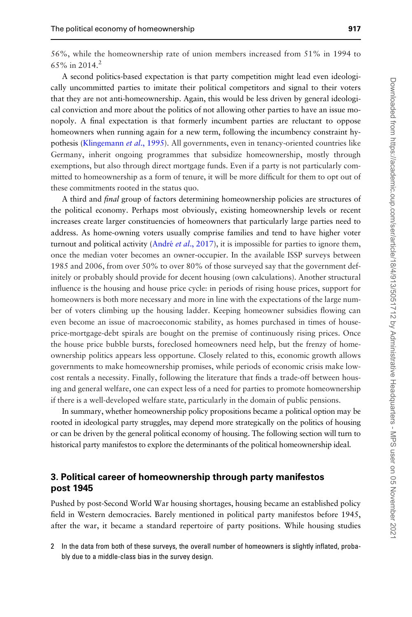56%, while the homeownership rate of union members increased from 51% in 1994 to 65% in 2014.<sup>2</sup>

A second politics-based expectation is that party competition might lead even ideologically uncommitted parties to imitate their political competitors and signal to their voters that they are not anti-homeownership. Again, this would be less driven by general ideological conviction and more about the politics of not allowing other parties to have an issue monopoly. A final expectation is that formerly incumbent parties are reluctant to oppose homeowners when running again for a new term, following the incumbency constraint hypothesis [\(Klingemann](#page-22-0) et al., 1995). All governments, even in tenancy-oriented countries like Germany, inherit ongoing programmes that subsidize homeownership, mostly through exemptions, but also through direct mortgage funds. Even if a party is not particularly committed to homeownership as a form of tenure, it will be more difficult for them to opt out of these commitments rooted in the status quo.

A third and final group of factors determining homeownership policies are structures of the political economy. Perhaps most obviously, existing homeownership levels or recent increases create larger constituencies of homeowners that particularly large parties need to address. As home-owning voters usually comprise families and tend to have higher voter turnout and political activity (André *et al.*, 2017), it is impossible for parties to ignore them, once the median voter becomes an owner-occupier. In the available ISSP surveys between 1985 and 2006, from over 50% to over 80% of those surveyed say that the government definitely or probably should provide for decent housing (own calculations). Another structural influence is the housing and house price cycle: in periods of rising house prices, support for homeowners is both more necessary and more in line with the expectations of the large number of voters climbing up the housing ladder. Keeping homeowner subsidies flowing can even become an issue of macroeconomic stability, as homes purchased in times of houseprice-mortgage-debt spirals are bought on the premise of continuously rising prices. Once the house price bubble bursts, foreclosed homeowners need help, but the frenzy of homeownership politics appears less opportune. Closely related to this, economic growth allows governments to make homeownership promises, while periods of economic crisis make lowcost rentals a necessity. Finally, following the literature that finds a trade-off between housing and general welfare, one can expect less of a need for parties to promote homeownership if there is a well-developed welfare state, particularly in the domain of public pensions.

In summary, whether homeownership policy propositions became a political option may be rooted in ideological party struggles, may depend more strategically on the politics of housing or can be driven by the general political economy of housing. The following section will turn to historical party manifestos to explore the determinants of the political homeownership ideal.

## 3. Political career of homeownership through party manifestos post 1945

Pushed by post-Second World War housing shortages, housing became an established policy field in Western democracies. Barely mentioned in political party manifestos before 1945, after the war, it became a standard repertoire of party positions. While housing studies

2 In the data from both of these surveys, the overall number of homeowners is slightly inflated, probably due to a middle-class bias in the survey design.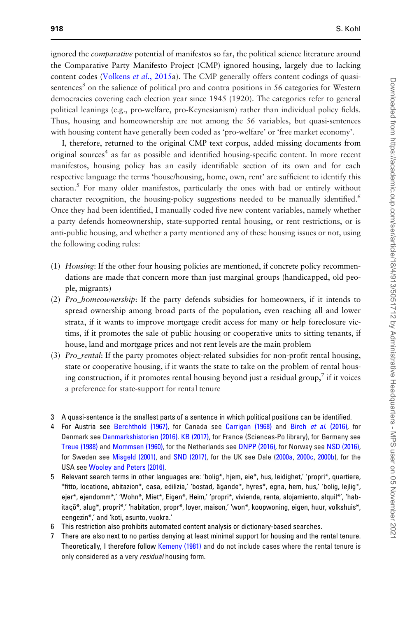ignored the *comparative* potential of manifestos so far, the political science literature around the Comparative Party Manifesto Project (CMP) ignored housing, largely due to lacking content codes [\(Volkens](#page-24-0) et al., 2015a). The CMP generally offers content codings of quasisentences<sup>3</sup> on the salience of political pro and contra positions in 56 categories for Western democracies covering each election year since 1945 (1920). The categories refer to general political leanings (e.g., pro-welfare, pro-Keynesianism) rather than individual policy fields. Thus, housing and homeownership are not among the 56 variables, but quasi-sentences with housing content have generally been coded as 'pro-welfare' or 'free market economy'.

I, therefore, returned to the original CMP text corpus, added missing documents from original sources<sup>4</sup> as far as possible and identified housing-specific content. In more recent manifestos, housing policy has an easily identifiable section of its own and for each respective language the terms 'house/housing, home, own, rent' are sufficient to identify this section.<sup>5</sup> For many older manifestos, particularly the ones with bad or entirely without character recognition, the housing-policy suggestions needed to be manually identified.<sup>6</sup> Once they had been identified, I manually coded five new content variables, namely whether a party defends homeownership, state-supported rental housing, or rent restrictions, or is anti-public housing, and whether a party mentioned any of these housing issues or not, using the following coding rules:

- (1) Housing: If the other four housing policies are mentioned, if concrete policy recommendations are made that concern more than just marginal groups (handicapped, old people, migrants)
- (2) Pro\_homeownership: If the party defends subsidies for homeowners, if it intends to spread ownership among broad parts of the population, even reaching all and lower strata, if it wants to improve mortgage credit access for many or help foreclosure victims, if it promotes the sale of public housing or cooperative units to sitting tenants, if house, land and mortgage prices and not rent levels are the main problem
- (3) Pro\_rental: If the party promotes object-related subsidies for non-profit rental housing, state or cooperative housing, if it wants the state to take on the problem of rental housing construction, if it promotes rental housing beyond just a residual group, $\frac{7}{1}$  if it voices a preference for state-support for rental tenure
- 3 A quasi-sentence is the smallest parts of a sentence in which political positions can be identified.
- 4 For Austria see [Berchthold \(1967\),](#page-21-0) for Canada see [Carrigan \(1968\)](#page-21-0) and Birch et al[. \(2016\)](#page-21-0), for Denmark see [Danmarkshistorien \(2016\).](#page-21-0) [KB \(2017\)](#page-22-0), for France (Sciences-Po library), for Germany see [Treue \(1988\)](#page-24-0) and [Mommsen \(1960\),](#page-23-0) for the Netherlands see [DNPP \(2016\),](#page-21-0) for Norway see [NSD \(2016\),](#page-23-0) for Sweden see [Misgeld \(2001\)](#page-23-0), and [SND \(2017\),](#page-24-0) for the UK see Dale ([2000a](#page-21-0), [2000c,](#page-21-0) [2000b](#page-21-0)), for the USA see [Wooley and Peters \(2016\).](#page-24-0)
- 5 Relevant search terms in other languages are: 'bolig\*, hjem, eie\*, hus, leidighet,' 'propri\*, quartiere, \*fitto, locatione, abitazion\*, casa, edilizia,' 'bostad, a¨ gande\*, hyres\*, egna, hem, hus,' 'bolig, lejlig\*, ejer\*, ejendomm\*,' 'Wohn\*, Miet\*, Eigen\*, Heim,' 'propri\*, vivienda, renta, alojamiento, alquil\*', 'habitaçõ\*, alug\*, propri\*,' 'habitation, propr\*, loyer, maison,' 'won\*, koopwoning, eigen, huur, volkshuis\*, eengezin\*,' and 'koti, asunto, vuokra.'
- 6 This restriction also prohibits automated content analysis or dictionary-based searches.
- 7 There are also next to no parties denying at least minimal support for housing and the rental tenure. Theoretically, I therefore follow [Kemeny \(1981\)](#page-22-0) and do not include cases where the rental tenure is only considered as a very residual housing form.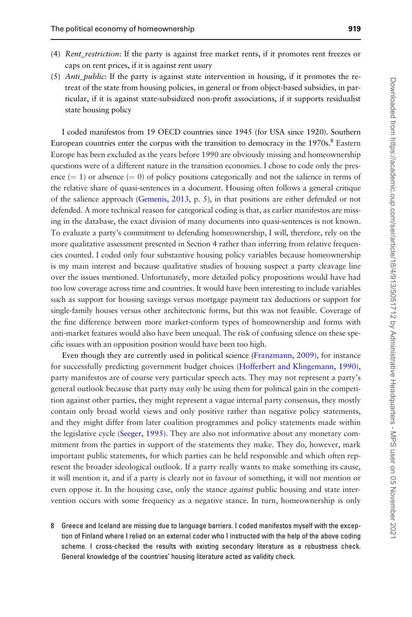- (4) Rent\_restriction: If the party is against free market rents, if it promotes rent freezes or caps on rent prices, if it is against rent usury
- (5) *Anti<sub>public</sub>*: If the party is against state intervention in housing, if it promotes the retreat of the state from housing policies, in general or from object-based subsidies, in particular, if it is against state-subsidized non-profit associations, if it supports residualist state housing policy

I coded manifestos from 19 OECD countries since 1945 (for USA since 1920). Southern European countries enter the corpus with the transition to democracy in the 1970s.<sup>8</sup> Eastern Europe has been excluded as the years before 1990 are obviously missing and homeownership questions were of a different nature in the transition economies. I chose to code only the presence  $(= 1)$  or absence  $(= 0)$  of policy positions categorically and not the salience in terms of the relative share of quasi-sentences in a document. Housing often follows a general critique of the salience approach ([Gemenis, 2013,](#page-22-0) p. 5), in that positions are either defended or not defended. A more technical reason for categorical coding is that, as earlier manifestos are missing in the database, the exact division of many documents into quasi-sentences is not known. To evaluate a party's commitment to defending homeownership, I will, therefore, rely on the more qualitative assessment presented in Section 4 rather than inferring from relative frequencies counted. I coded only four substantive housing policy variables because homeownership is my main interest and because qualitative studies of housing suspect a party cleavage line over the issues mentioned. Unfortunately, more detailed policy propositions would have had too low coverage across time and countries. It would have been interesting to include variables such as support for housing savings versus mortgage payment tax deductions or support for single-family houses versus other architectonic forms, but this was not feasible. Coverage of the fine difference between more market-conform types of homeownership and forms with anti-market features would also have been unequal. The risk of confusing silence on these specific issues with an opposition position would have been too high.

Even though they are currently used in political science ([Franzmann, 2009](#page-22-0)), for instance for successfully predicting government budget choices ([Hofferbert and Klingemann, 1990\)](#page-22-0), party manifestos are of course very particular speech acts. They may not represent a party's general outlook because that party may only be using them for political gain in the competition against other parties, they might represent a vague internal party consensus, they mostly contain only broad world views and only positive rather than negative policy statements, and they might differ from later coalition programmes and policy statements made within the legislative cycle ([Seeger, 1995](#page-24-0)). They are also not informative about any monetary commitment from the parties in support of the statements they make. They do, however, mark important public statements, for which parties can be held responsible and which often represent the broader ideological outlook. If a party really wants to make something its cause, it will mention it, and if a party is clearly not in favour of something, it will not mention or even oppose it. In the housing case, only the stance *against* public housing and state intervention occurs with some frequency as a negative stance. In turn, homeownership is only

8 Greece and Iceland are missing due to language barriers. I coded manifestos myself with the exception of Finland where I relied on an external coder who I instructed with the help of the above coding scheme. I cross-checked the results with existing secondary literature as a robustness check. General knowledge of the countries' housing literature acted as validity check.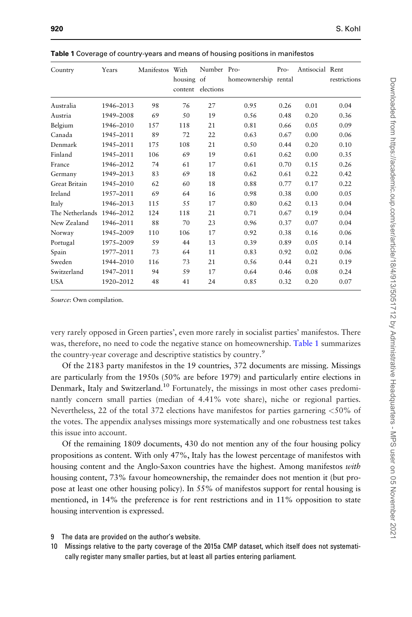| Country                   | Years     | Manifestos With | housing of<br>content | Number Pro-<br>elections | homeownership rental | $Pro-$ | Antisocial Rent | restrictions |
|---------------------------|-----------|-----------------|-----------------------|--------------------------|----------------------|--------|-----------------|--------------|
| Australia                 | 1946-2013 | 98              | 76                    | 27                       | 0.95                 | 0.26   | 0.01            | 0.04         |
| Austria                   | 1949-2008 | 69              | 50                    | 19                       | 0.56                 | 0.48   | 0.20            | 0.36         |
| Belgium                   | 1946-2010 | 157             | 118                   | 21                       | 0.81                 | 0.66   | 0.05            | 0.09         |
| Canada                    | 1945-2011 | 89              | 72                    | 22                       | 0.63                 | 0.67   | 0.00            | 0.06         |
| Denmark                   | 1945-2011 | 175             | 108                   | 21                       | 0.50                 | 0.44   | 0.20            | 0.10         |
| Finland                   | 1945-2011 | 106             | 69                    | 19                       | 0.61                 | 0.62   | 0.00            | 0.35         |
| France                    | 1946-2012 | 74              | 61                    | 17                       | 0.61                 | 0.70   | 0.15            | 0.26         |
| Germany                   | 1949-2013 | 83              | 69                    | 18                       | 0.62                 | 0.61   | 0.22            | 0.42         |
| Great Britain             | 1945-2010 | 62              | 60                    | 18                       | 0.88                 | 0.77   | 0.17            | 0.22         |
| Ireland                   | 1957-2011 | 69              | 64                    | 16                       | 0.98                 | 0.38   | 0.00            | 0.05         |
| Italy                     | 1946-2013 | 115             | 55                    | 17                       | 0.80                 | 0.62   | 0.13            | 0.04         |
| The Netherlands 1946-2012 |           | 124             | 118                   | 21                       | 0.71                 | 0.67   | 0.19            | 0.04         |
| New Zealand               | 1946-2011 | 88              | 70                    | 23                       | 0.96                 | 0.37   | 0.07            | 0.04         |
| Norway                    | 1945-2009 | 110             | 106                   | 17                       | 0.92                 | 0.38   | 0.16            | 0.06         |
| Portugal                  | 1975-2009 | 59              | 44                    | 13                       | 0.39                 | 0.89   | 0.05            | 0.14         |
| Spain                     | 1977-2011 | 73              | 64                    | 11                       | 0.83                 | 0.92   | 0.02            | 0.06         |
| Sweden                    | 1944-2010 | 116             | 73                    | 21                       | 0.56                 | 0.44   | 0.21            | 0.19         |
| Switzerland               | 1947-2011 | 94              | 59                    | 17                       | 0.64                 | 0.46   | 0.08            | 0.24         |
| <b>USA</b>                | 1920-2012 | 48              | 41                    | 24                       | 0.85                 | 0.32   | 0.20            | 0.07         |

Table 1 Coverage of country-years and means of housing positions in manifestos

Source: Own compilation.

very rarely opposed in Green parties', even more rarely in socialist parties' manifestos. There was, therefore, no need to code the negative stance on homeownership. Table 1 summarizes the country-year coverage and descriptive statistics by country.<sup>9</sup>

Of the 2183 party manifestos in the 19 countries, 372 documents are missing. Missings are particularly from the 1950s (50% are before 1979) and particularly entire elections in Denmark, Italy and Switzerland.<sup>10</sup> Fortunately, the missings in most other cases predominantly concern small parties (median of 4.41% vote share), niche or regional parties. Nevertheless, 22 of the total 372 elections have manifestos for parties garnering <50% of the votes. The appendix analyses missings more systematically and one robustness test takes this issue into account.

Of the remaining 1809 documents, 430 do not mention any of the four housing policy propositions as content. With only 47%, Italy has the lowest percentage of manifestos with housing content and the Anglo-Saxon countries have the highest. Among manifestos *with* housing content, 73% favour homeownership, the remainder does not mention it (but propose at least one other housing policy). In 55% of manifestos support for rental housing is mentioned, in 14% the preference is for rent restrictions and in 11% opposition to state housing intervention is expressed.

- 9 The data are provided on the author's website.
- 10 Missings relative to the party coverage of the 2015a CMP dataset, which itself does not systematically register many smaller parties, but at least all parties entering parliament.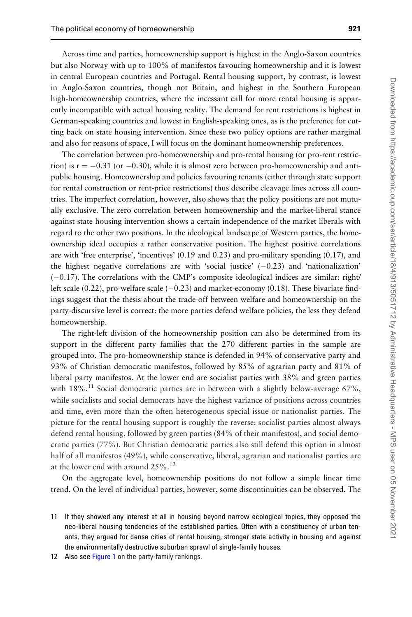Across time and parties, homeownership support is highest in the Anglo-Saxon countries but also Norway with up to 100% of manifestos favouring homeownership and it is lowest in central European countries and Portugal. Rental housing support, by contrast, is lowest in Anglo-Saxon countries, though not Britain, and highest in the Southern European high-homeownership countries, where the incessant call for more rental housing is apparently incompatible with actual housing reality. The demand for rent restrictions is highest in German-speaking countries and lowest in English-speaking ones, as is the preference for cutting back on state housing intervention. Since these two policy options are rather marginal and also for reasons of space, I will focus on the dominant homeownership preferences.

The correlation between pro-homeownership and pro-rental housing (or pro-rent restriction) is  $r = -0.31$  (or  $-0.30$ ), while it is almost zero between pro-homeownership and antipublic housing. Homeownership and policies favouring tenants (either through state support for rental construction or rent-price restrictions) thus describe cleavage lines across all countries. The imperfect correlation, however, also shows that the policy positions are not mutually exclusive. The zero correlation between homeownership and the market-liberal stance against state housing intervention shows a certain independence of the market liberals with regard to the other two positions. In the ideological landscape of Western parties, the homeownership ideal occupies a rather conservative position. The highest positive correlations are with 'free enterprise', 'incentives' (0.19 and 0.23) and pro-military spending (0.17), and the highest negative correlations are with 'social justice'  $(-0.23)$  and 'nationalization'  $(-0.17)$ . The correlations with the CMP's composite ideological indices are similar: right/ left scale (0.22), pro-welfare scale  $(-0.23)$  and market-economy (0.18). These bivariate findings suggest that the thesis about the trade-off between welfare and homeownership on the party-discursive level is correct: the more parties defend welfare policies, the less they defend homeownership.

The right-left division of the homeownership position can also be determined from its support in the different party families that the 270 different parties in the sample are grouped into. The pro-homeownership stance is defended in 94% of conservative party and 93% of Christian democratic manifestos, followed by 85% of agrarian party and 81% of liberal party manifestos. At the lower end are socialist parties with 38% and green parties with  $18\%$ .<sup>11</sup> Social democratic parties are in between with a slightly below-average 67%, while socialists and social democrats have the highest variance of positions across countries and time, even more than the often heterogeneous special issue or nationalist parties. The picture for the rental housing support is roughly the reverse: socialist parties almost always defend rental housing, followed by green parties (84% of their manifestos), and social democratic parties (77%). But Christian democratic parties also still defend this option in almost half of all manifestos (49%), while conservative, liberal, agrarian and nationalist parties are at the lower end with around  $25\%$ .<sup>12</sup>

On the aggregate level, homeownership positions do not follow a simple linear time trend. On the level of individual parties, however, some discontinuities can be observed. The

<sup>11</sup> If they showed any interest at all in housing beyond narrow ecological topics, they opposed the neo-liberal housing tendencies of the established parties. Often with a constituency of urban tenants, they argued for dense cities of rental housing, stronger state activity in housing and against the environmentally destructive suburban sprawl of single-family houses.

<sup>12</sup> Also see [Figure 1](#page-13-0) on the party-family rankings.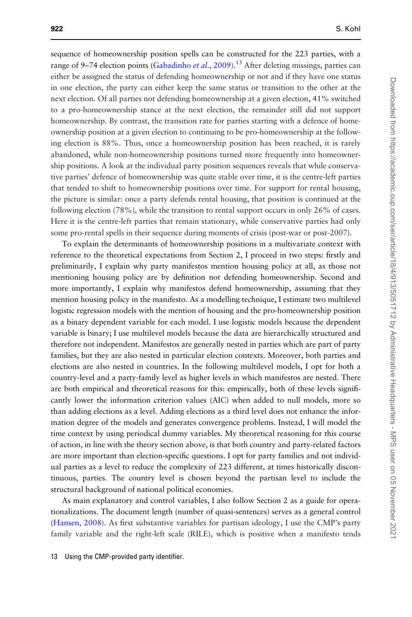sequence of homeownership position spells can be constructed for the 223 parties, with a range of 9–74 election points [\(Gabadinho](#page-22-0) *et al.*, 2009).<sup>13</sup> After deleting missings, parties can either be assigned the status of defending homeownership or not and if they have one status in one election, the party can either keep the same status or transition to the other at the next election. Of all parties not defending homeownership at a given election, 41% switched to a pro-homeownership stance at the next election, the remainder still did not support homeownership. By contrast, the transition rate for parties starting with a defence of homeownership position at a given election to continuing to be pro-homeownership at the following election is 88%. Thus, once a homeownership position has been reached, it is rarely abandoned, while non-homeownership positions turned more frequently into homeownership positions. A look at the individual party position sequences reveals that while conservative parties' defence of homeownership was quite stable over time, it is the centre-left parties that tended to shift to homeownership positions over time. For support for rental housing, the picture is similar: once a party defends rental housing, that position is continued at the following election (78%), while the transition to rental support occurs in only 26% of cases. Here it is the centre-left parties that remain stationary, while conservative parties had only some pro-rental spells in their sequence during moments of crisis (post-war or post-2007).

To explain the determinants of homeownership positions in a multivariate context with reference to the theoretical expectations from Section 2, I proceed in two steps: firstly and preliminarily, I explain why party manifestos mention housing policy at all, as those not mentioning housing policy are by definition not defending homeownership. Second and more importantly, I explain why manifestos defend homeownership, assuming that they mention housing policy in the manifesto. As a modelling technique, I estimate two multilevel logistic regression models with the mention of housing and the pro-homeownership position as a binary dependent variable for each model. I use logistic models because the dependent variable is binary; I use multilevel models because the data are hierarchically structured and therefore not independent. Manifestos are generally nested in parties which are part of party families, but they are also nested in particular election contexts. Moreover, both parties and elections are also nested in countries. In the following multilevel models, I opt for both a country-level and a party-family level as higher levels in which manifestos are nested. There are both empirical and theoretical reasons for this: empirically, both of these levels significantly lower the information criterion values (AIC) when added to null models, more so than adding elections as a level. Adding elections as a third level does not enhance the information degree of the models and generates convergence problems. Instead, I will model the time context by using periodical dummy variables. My theoretical reasoning for this course of action, in line with the theory section above, is that both country and party-related factors are more important than election-specific questions. I opt for party families and not individual parties as a level to reduce the complexity of 223 different, at times historically discontinuous, parties. The country level is chosen beyond the partisan level to include the structural background of national political economies.

As main explanatory and control variables, I also follow Section 2 as a guide for operationalizations. The document length (number of quasi-sentences) serves as a general control [\(Hansen, 2008\)](#page-22-0). As first substantive variables for partisan ideology, I use the CMP's party family variable and the right-left scale (RILE), which is positive when a manifesto tends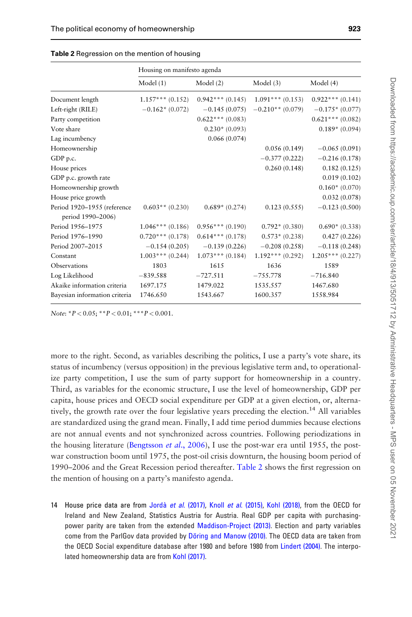|                                                  | Housing on manifesto agenda |                   |                    |                   |  |
|--------------------------------------------------|-----------------------------|-------------------|--------------------|-------------------|--|
|                                                  | Model(1)                    | Model (2)         | Model $(3)$        | Model (4)         |  |
| Document length                                  | $1.157***(0.152)$           | $0.942***(0.145)$ | $1.091***(0.153)$  | $0.922***(0.141)$ |  |
| Left-right (RILE)                                | $-0.162*(0.072)$            | $-0.145(0.075)$   | $-0.210**$ (0.079) | $-0.175*(0.077)$  |  |
| Party competition                                |                             | $0.622***(0.083)$ |                    | $0.621***(0.082)$ |  |
| Vote share                                       |                             | $0.230*(0.093)$   |                    | $0.189* (0.094)$  |  |
| Lag incumbency                                   |                             | 0.066(0.074)      |                    |                   |  |
| Homeownership                                    |                             |                   | 0.056(0.149)       | $-0.065(0.091)$   |  |
| GDP p.c.                                         |                             |                   | $-0.377(0.222)$    | $-0.216(0.178)$   |  |
| House prices                                     |                             |                   | 0.260(0.148)       | 0.182(0.125)      |  |
| GDP p.c. growth rate                             |                             |                   |                    | 0.019(0.102)      |  |
| Homeownership growth                             |                             |                   |                    | $0.160*(0.070)$   |  |
| House price growth                               |                             |                   |                    | 0.032(0.078)      |  |
| Period 1920-1955 (reference<br>period 1990-2006) | $0.603**$ (0.230)           | $0.689* (0.274)$  | 0.123(0.555)       | $-0.123(0.500)$   |  |
| Period 1956-1975                                 | $1.046***(0.186)$           | $0.956***(0.190)$ | $0.792*(0.380)$    | $0.690*(0.338)$   |  |
| Period 1976-1990                                 | $0.720***(0.178)$           | $0.614***(0.178)$ | $0.573*(0.238)$    | 0.427(0.226)      |  |
| Period 2007-2015                                 | $-0.154(0.205)$             | $-0.139(0.226)$   | $-0.208(0.258)$    | $-0.118(0.248)$   |  |
| Constant                                         | $1.003***(0.244)$           | $1.073***(0.184)$ | $1.192***$ (0.292) | $1.205***(0.227)$ |  |
| Observations                                     | 1803                        | 1615              | 1636               | 1589              |  |
| Log Likelihood                                   | $-839.588$                  | $-727.511$        | $-755.778$         | $-716.840$        |  |
| Akaike information criteria                      | 1697.175                    | 1479.022          | 1535.557           | 1467.680          |  |
| Bayesian information criteria                    | 1746.650                    | 1543.667          | 1600.357           | 1558.984          |  |

| Table 2 Regression on the mention of housing |  |  |  |
|----------------------------------------------|--|--|--|
|----------------------------------------------|--|--|--|

Note:  $P < 0.05$ ;  $* P < 0.01$ ;  $* * P < 0.001$ .

more to the right. Second, as variables describing the politics, I use a party's vote share, its status of incumbency (versus opposition) in the previous legislative term and, to operationalize party competition, I use the sum of party support for homeownership in a country. Third, as variables for the economic structure, I use the level of homeownership, GDP per capita, house prices and OECD social expenditure per GDP at a given election, or, alternatively, the growth rate over the four legislative years preceding the election.<sup>14</sup> All variables are standardized using the grand mean. Finally, I add time period dummies because elections are not annual events and not synchronized across countries. Following periodizations in the housing literature ([Bengtsson](#page-21-0) *et al.*, 2006), I use the post-war era until 1955, the postwar construction boom until 1975, the post-oil crisis downturn, the housing boom period of 1990–2006 and the Great Recession period thereafter. Table 2 shows the first regression on the mention of housing on a party's manifesto agenda.

14 House price data are from Jordà et al[. \(2017\)](#page-22-0), Knoll et al[. \(2015\),](#page-22-0) [Kohl \(2018\)](#page-23-0), from the OECD for Ireland and New Zealand, Statistics Austria for Austria. Real GDP per capita with purchasingpower parity are taken from the extended [Maddison-Project \(2013\).](#page-23-0) Election and party variables come from the ParlGov data provided by Döring and Manow (2010). The OECD data are taken from the OECD Social expenditure database after 1980 and before 1980 from [Lindert \(2004\)](#page-23-0). The interpolated homeownership data are from [Kohl \(2017\)](#page-23-0).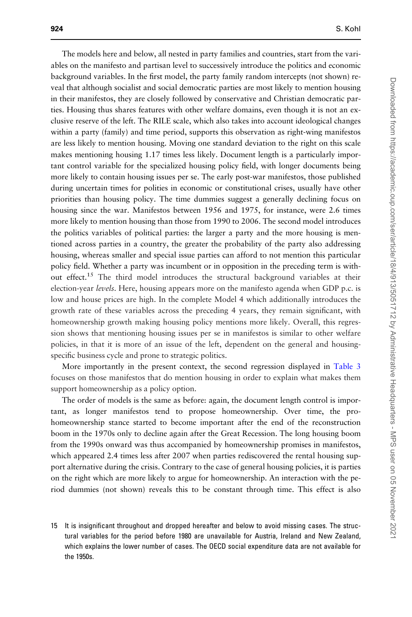The models here and below, all nested in party families and countries, start from the variables on the manifesto and partisan level to successively introduce the politics and economic background variables. In the first model, the party family random intercepts (not shown) reveal that although socialist and social democratic parties are most likely to mention housing in their manifestos, they are closely followed by conservative and Christian democratic parties. Housing thus shares features with other welfare domains, even though it is not an exclusive reserve of the left. The RILE scale, which also takes into account ideological changes within a party (family) and time period, supports this observation as right-wing manifestos are less likely to mention housing. Moving one standard deviation to the right on this scale makes mentioning housing 1.17 times less likely. Document length is a particularly important control variable for the specialized housing policy field, with longer documents being more likely to contain housing issues per se. The early post-war manifestos, those published during uncertain times for polities in economic or constitutional crises, usually have other priorities than housing policy. The time dummies suggest a generally declining focus on housing since the war. Manifestos between 1956 and 1975, for instance, were 2.6 times more likely to mention housing than those from 1990 to 2006. The second model introduces the politics variables of political parties: the larger a party and the more housing is mentioned across parties in a country, the greater the probability of the party also addressing housing, whereas smaller and special issue parties can afford to not mention this particular policy field. Whether a party was incumbent or in opposition in the preceding term is without effect.<sup>15</sup> The third model introduces the structural background variables at their election-year *levels*. Here, housing appears more on the manifesto agenda when GDP p.c. is low and house prices are high. In the complete Model 4 which additionally introduces the growth rate of these variables across the preceding 4 years, they remain significant, with homeownership growth making housing policy mentions more likely. Overall, this regression shows that mentioning housing issues per se in manifestos is similar to other welfare policies, in that it is more of an issue of the left, dependent on the general and housingspecific business cycle and prone to strategic politics.

More importantly in the present context, the second regression displayed in [Table 3](#page-12-0) focuses on those manifestos that do mention housing in order to explain what makes them support homeownership as a policy option.

The order of models is the same as before: again, the document length control is important, as longer manifestos tend to propose homeownership. Over time, the prohomeownership stance started to become important after the end of the reconstruction boom in the 1970s only to decline again after the Great Recession. The long housing boom from the 1990s onward was thus accompanied by homeownership promises in manifestos, which appeared 2.4 times less after 2007 when parties rediscovered the rental housing support alternative during the crisis. Contrary to the case of general housing policies, it is parties on the right which are more likely to argue for homeownership. An interaction with the period dummies (not shown) reveals this to be constant through time. This effect is also

15 It is insignificant throughout and dropped hereafter and below to avoid missing cases. The structural variables for the period before 1980 are unavailable for Austria, Ireland and New Zealand, which explains the lower number of cases. The OECD social expenditure data are not available for the 1950s.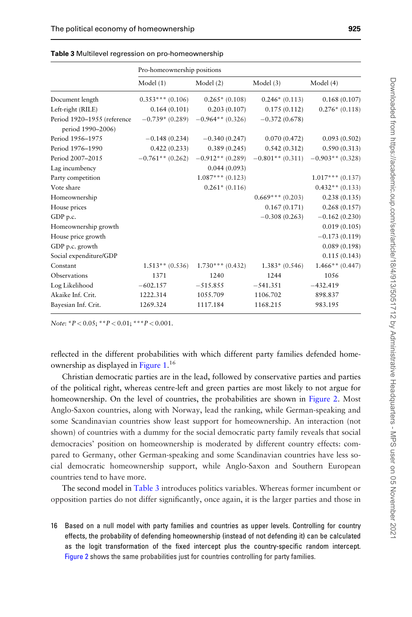|                                                  | Pro-homeownership positions |                    |                    |                    |  |
|--------------------------------------------------|-----------------------------|--------------------|--------------------|--------------------|--|
|                                                  | Model(1)                    | Model (2)          | Model $(3)$        | Model (4)          |  |
| Document length                                  | $0.353***(0.106)$           | $0.265*(0.108)$    | $0.246*(0.113)$    | 0.168(0.107)       |  |
| Left-right (RILE)                                | 0.164(0.101)                | 0.203(0.107)       | 0.175(0.112)       | $0.276*(0.118)$    |  |
| Period 1920-1955 (reference<br>period 1990-2006) | $-0.739*(0.289)$            | $-0.964**$ (0.326) | $-0.372(0.678)$    |                    |  |
| Period 1956-1975                                 | $-0.148(0.234)$             | $-0.340(0.247)$    | 0.070(0.472)       | 0.093(0.502)       |  |
| Period 1976-1990                                 | 0.422(0.233)                | 0.389(0.245)       | 0.542(0.312)       | 0.590(0.313)       |  |
| Period 2007-2015                                 | $-0.761**$ (0.262)          | $-0.912**$ (0.289) | $-0.801**$ (0.311) | $-0.903**$ (0.328) |  |
| Lag incumbency                                   |                             | 0.044(0.093)       |                    |                    |  |
| Party competition                                |                             | $1.087***(0.123)$  |                    | $1.017***(0.137)$  |  |
| Vote share                                       |                             | $0.261* (0.116)$   |                    | $0.432**$ (0.133)  |  |
| Homeownership                                    |                             |                    | $0.669***(0.203)$  | 0.238(0.135)       |  |
| House prices                                     |                             |                    | 0.167(0.171)       | 0.268(0.157)       |  |
| GDP p.c.                                         |                             |                    | $-0.308(0.263)$    | $-0.162(0.230)$    |  |
| Homeownership growth                             |                             |                    |                    | 0.019(0.105)       |  |
| House price growth                               |                             |                    |                    | $-0.173(0.119)$    |  |
| GDP p.c. growth                                  |                             |                    |                    | 0.089(0.198)       |  |
| Social expenditure/GDP                           |                             |                    |                    | 0.115(0.143)       |  |
| Constant                                         | $1.513**$ (0.536)           | $1.730***$ (0.432) | $1.383* (0.546)$   | $1.466**$ (0.447)  |  |
| Observations                                     | 1371                        | 1240               | 1244               | 1056               |  |
| Log Likelihood                                   | $-602.157$                  | $-515.855$         | $-541.351$         | $-432.419$         |  |
| Akaike Inf. Crit.                                | 1222.314                    | 1055.709           | 1106.702           | 898.837            |  |
| Bayesian Inf. Crit.                              | 1269.324                    | 1117.184           | 1168.215           | 983.195            |  |

<span id="page-12-0"></span>

|  |  | Table 3 Multilevel regression on pro-homeownership |
|--|--|----------------------------------------------------|
|--|--|----------------------------------------------------|

Note:  ${}^*P < 0.05$ ;  ${}^*{}^*P < 0.01$ ;  ${}^*{}^*{}^*P < 0.001$ .

reflected in the different probabilities with which different party families defended home-ownership as displayed in [Figure 1](#page-13-0).<sup>16</sup>

Christian democratic parties are in the lead, followed by conservative parties and parties of the political right, whereas centre-left and green parties are most likely to not argue for homeownership. On the level of countries, the probabilities are shown in [Figure 2.](#page-13-0) Most Anglo-Saxon countries, along with Norway, lead the ranking, while German-speaking and some Scandinavian countries show least support for homeownership. An interaction (not shown) of countries with a dummy for the social democratic party family reveals that social democracies' position on homeownership is moderated by different country effects: compared to Germany, other German-speaking and some Scandinavian countries have less social democratic homeownership support, while Anglo-Saxon and Southern European countries tend to have more.

The second model in Table 3 introduces politics variables. Whereas former incumbent or opposition parties do not differ significantly, once again, it is the larger parties and those in

16 Based on a null model with party families and countries as upper levels. Controlling for country effects, the probability of defending homeownership (instead of not defending it) can be calculated as the logit transformation of the fixed intercept plus the country-specific random intercept. [Figure 2](#page-13-0) shows the same probabilities just for countries controlling for party families.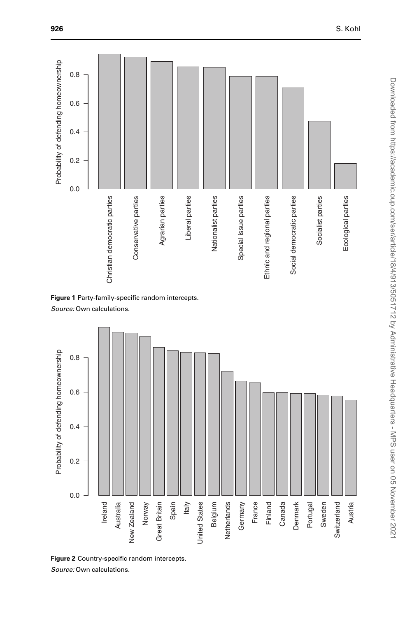<span id="page-13-0"></span>

Figure 1 Party-family-specific random intercepts.

Source: Own calculations.



Figure 2 Country-specific random intercepts.

Source: Own calculations.

Ecological parties

Ecological parties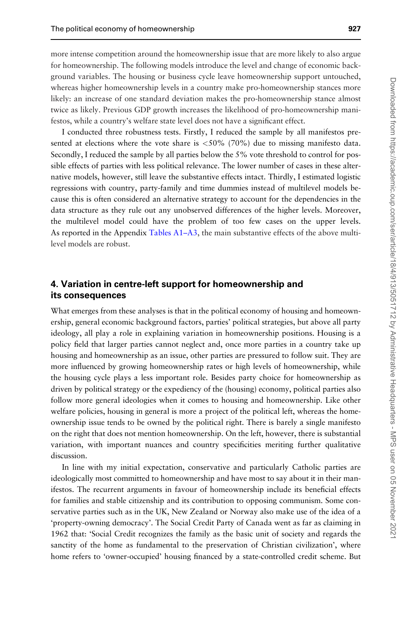more intense competition around the homeownership issue that are more likely to also argue for homeownership. The following models introduce the level and change of economic background variables. The housing or business cycle leave homeownership support untouched, whereas higher homeownership levels in a country make pro-homeownership stances more likely: an increase of one standard deviation makes the pro-homeownership stance almost twice as likely. Previous GDP growth increases the likelihood of pro-homeownership manifestos, while a country's welfare state level does not have a significant effect.

I conducted three robustness tests. Firstly, I reduced the sample by all manifestos presented at elections where the vote share is  $\langle 50\% (70\%)$  due to missing manifesto data. Secondly, I reduced the sample by all parties below the 5% vote threshold to control for possible effects of parties with less political relevance. The lower number of cases in these alternative models, however, still leave the substantive effects intact. Thirdly, I estimated logistic regressions with country, party-family and time dummies instead of multilevel models because this is often considered an alternative strategy to account for the dependencies in the data structure as they rule out any unobserved differences of the higher levels. Moreover, the multilevel model could have the problem of too few cases on the upper levels. As reported in the Appendix [Tables A1–A3](#page-25-0), the main substantive effects of the above multilevel models are robust.

# 4. Variation in centre-left support for homeownership and its consequences

What emerges from these analyses is that in the political economy of housing and homeownership, general economic background factors, parties' political strategies, but above all party ideology, all play a role in explaining variation in homeownership positions. Housing is a policy field that larger parties cannot neglect and, once more parties in a country take up housing and homeownership as an issue, other parties are pressured to follow suit. They are more influenced by growing homeownership rates or high levels of homeownership, while the housing cycle plays a less important role. Besides party choice for homeownership as driven by political strategy or the expediency of the (housing) economy, political parties also follow more general ideologies when it comes to housing and homeownership. Like other welfare policies, housing in general is more a project of the political left, whereas the homeownership issue tends to be owned by the political right. There is barely a single manifesto on the right that does not mention homeownership. On the left, however, there is substantial variation, with important nuances and country specificities meriting further qualitative discussion.

In line with my initial expectation, conservative and particularly Catholic parties are ideologically most committed to homeownership and have most to say about it in their manifestos. The recurrent arguments in favour of homeownership include its beneficial effects for families and stable citizenship and its contribution to opposing communism. Some conservative parties such as in the UK, New Zealand or Norway also make use of the idea of a 'property-owning democracy'. The Social Credit Party of Canada went as far as claiming in 1962 that: 'Social Credit recognizes the family as the basic unit of society and regards the sanctity of the home as fundamental to the preservation of Christian civilization', where home refers to 'owner-occupied' housing financed by a state-controlled credit scheme. But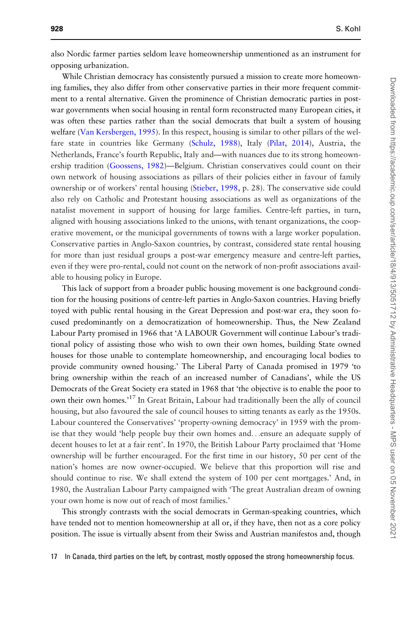also Nordic farmer parties seldom leave homeownership unmentioned as an instrument for opposing urbanization.

While Christian democracy has consistently pursued a mission to create more homeowning families, they also differ from other conservative parties in their more frequent commitment to a rental alternative. Given the prominence of Christian democratic parties in postwar governments when social housing in rental form reconstructed many European cities, it was often these parties rather than the social democrats that built a system of housing welfare [\(Van Kersbergen, 1995](#page-24-0)). In this respect, housing is similar to other pillars of the welfare state in countries like Germany ([Schulz, 1988](#page-23-0)), Italy ([Pilat, 2014](#page-23-0)), Austria, the Netherlands, France's fourth Republic, Italy and—with nuances due to its strong homeownership tradition ([Goossens, 1982](#page-22-0))—Belgium. Christian conservatives could count on their own network of housing associations as pillars of their policies either in favour of family ownership or of workers' rental housing [\(Stieber, 1998,](#page-24-0) p. 28). The conservative side could also rely on Catholic and Protestant housing associations as well as organizations of the natalist movement in support of housing for large families. Centre-left parties, in turn, aligned with housing associations linked to the unions, with tenant organizations, the cooperative movement, or the municipal governments of towns with a large worker population. Conservative parties in Anglo-Saxon countries, by contrast, considered state rental housing for more than just residual groups a post-war emergency measure and centre-left parties, even if they were pro-rental, could not count on the network of non-profit associations available to housing policy in Europe.

This lack of support from a broader public housing movement is one background condition for the housing positions of centre-left parties in Anglo-Saxon countries. Having briefly toyed with public rental housing in the Great Depression and post-war era, they soon focused predominantly on a democratization of homeownership. Thus, the New Zealand Labour Party promised in 1966 that 'A LABOUR Government will continue Labour's traditional policy of assisting those who wish to own their own homes, building State owned houses for those unable to contemplate homeownership, and encouraging local bodies to provide community owned housing.' The Liberal Party of Canada promised in 1979 'to bring ownership within the reach of an increased number of Canadians', while the US Democrats of the Great Society era stated in 1968 that 'the objective is to enable the poor to own their own homes.'<sup>17</sup> In Great Britain, Labour had traditionally been the ally of council housing, but also favoured the sale of council houses to sitting tenants as early as the 1950s. Labour countered the Conservatives' 'property-owning democracy' in 1959 with the promise that they would 'help people buy their own homes and...ensure an adequate supply of decent houses to let at a fair rent'. In 1970, the British Labour Party proclaimed that 'Home ownership will be further encouraged. For the first time in our history, 50 per cent of the nation's homes are now owner-occupied. We believe that this proportion will rise and should continue to rise. We shall extend the system of 100 per cent mortgages.' And, in 1980, the Australian Labour Party campaigned with 'The great Australian dream of owning your own home is now out of reach of most families.'

This strongly contrasts with the social democrats in German-speaking countries, which have tended not to mention homeownership at all or, if they have, then not as a core policy position. The issue is virtually absent from their Swiss and Austrian manifestos and, though

17 In Canada, third parties on the left, by contrast, mostly opposed the strong homeownership focus.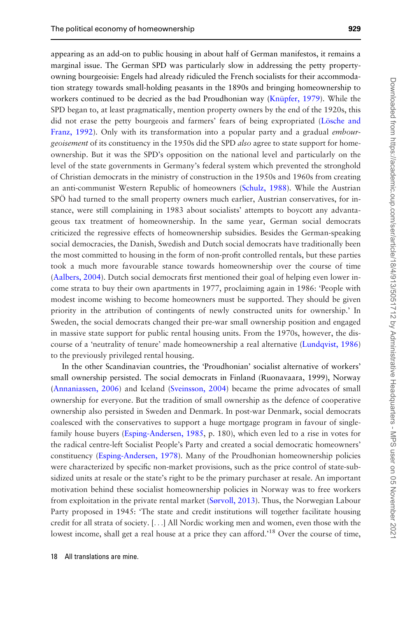appearing as an add-on to public housing in about half of German manifestos, it remains a marginal issue. The German SPD was particularly slow in addressing the petty propertyowning bourgeoisie: Engels had already ridiculed the French socialists for their accommodation strategy towards small-holding peasants in the 1890s and bringing homeownership to workers continued to be decried as the bad Proudhonian way (Knüpfer, 1979). While the SPD began to, at least pragmatically, mention property owners by the end of the 1920s, this did not erase the petty bourgeois and farmers' fears of being expropriated (Lösche and [Franz, 1992\)](#page-23-0). Only with its transformation into a popular party and a gradual *embour*geoisement of its constituency in the 1950s did the SPD also agree to state support for homeownership. But it was the SPD's opposition on the national level and particularly on the level of the state governments in Germany's federal system which prevented the stronghold of Christian democrats in the ministry of construction in the 1950s and 1960s from creating an anti-communist Western Republic of homeowners [\(Schulz, 1988](#page-23-0)). While the Austrian SPÖ had turned to the small property owners much earlier, Austrian conservatives, for instance, were still complaining in 1983 about socialists' attempts to boycott any advantageous tax treatment of homeownership. In the same year, German social democrats criticized the regressive effects of homeownership subsidies. Besides the German-speaking social democracies, the Danish, Swedish and Dutch social democrats have traditionally been the most committed to housing in the form of non-profit controlled rentals, but these parties took a much more favourable stance towards homeownership over the course of time [\(Aalbers, 2004](#page-21-0)). Dutch social democrats first mentioned their goal of helping even lower income strata to buy their own apartments in 1977, proclaiming again in 1986: 'People with modest income wishing to become homeowners must be supported. They should be given priority in the attribution of contingents of newly constructed units for ownership.' In Sweden, the social democrats changed their pre-war small ownership position and engaged in massive state support for public rental housing units. From the 1970s, however, the discourse of a 'neutrality of tenure' made homeownership a real alternative ([Lundqvist, 1986\)](#page-23-0) to the previously privileged rental housing.

In the other Scandinavian countries, the 'Proudhonian' socialist alternative of workers' small ownership persisted. The social democrats in Finland (Ruonavaara, 1999), Norway [\(Annaniassen, 2006\)](#page-21-0) and Iceland [\(Sveinsson, 2004\)](#page-24-0) became the prime advocates of small ownership for everyone. But the tradition of small ownership as the defence of cooperative ownership also persisted in Sweden and Denmark. In post-war Denmark, social democrats coalesced with the conservatives to support a huge mortgage program in favour of singlefamily house buyers ([Esping-Andersen, 1985,](#page-22-0) p. 180), which even led to a rise in votes for the radical centre-left Socialist People's Party and created a social democratic homeowners' constituency ([Esping-Andersen, 1978](#page-21-0)). Many of the Proudhonian homeownership policies were characterized by specific non-market provisions, such as the price control of state-subsidized units at resale or the state's right to be the primary purchaser at resale. An important motivation behind these socialist homeownership policies in Norway was to free workers from exploitation in the private rental market [\(Sørvoll, 2013](#page-24-0)). Thus, the Norwegian Labour Party proposed in 1945: 'The state and credit institutions will together facilitate housing credit for all strata of society. [...] All Nordic working men and women, even those with the lowest income, shall get a real house at a price they can afford.'<sup>18</sup> Over the course of time,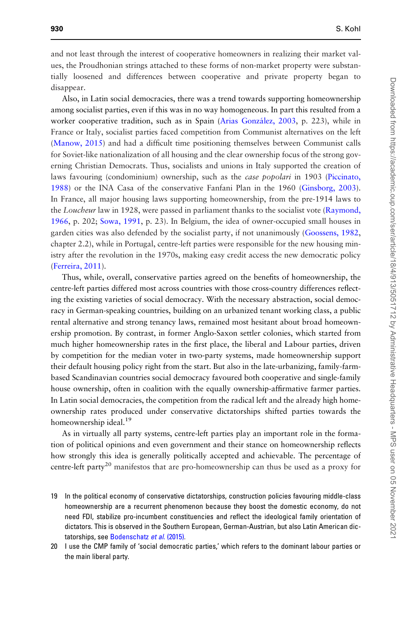and not least through the interest of cooperative homeowners in realizing their market values, the Proudhonian strings attached to these forms of non-market property were substantially loosened and differences between cooperative and private property began to disappear.

Also, in Latin social democracies, there was a trend towards supporting homeownership among socialist parties, even if this was in no way homogeneous. In part this resulted from a worker cooperative tradition, such as in Spain (Arias González, 2003, p. 223), while in France or Italy, socialist parties faced competition from Communist alternatives on the left [\(Manow, 2015](#page-23-0)) and had a difficult time positioning themselves between Communist calls for Soviet-like nationalization of all housing and the clear ownership focus of the strong governing Christian Democrats. Thus, socialists and unions in Italy supported the creation of laws favouring (condominium) ownership, such as the *case popolari* in 1903 [\(Piccinato,](#page-23-0) [1988](#page-23-0)) or the INA Casa of the conservative Fanfani Plan in the 1960 [\(Ginsborg, 2003\)](#page-22-0). In France, all major housing laws supporting homeownership, from the pre-1914 laws to the Loucheur law in 1928, were passed in parliament thanks to the socialist vote ([Raymond,](#page-23-0) [1966](#page-23-0), p. 202; [Sowa, 1991](#page-24-0), p. 23). In Belgium, the idea of owner-occupied small houses in garden cities was also defended by the socialist party, if not unanimously [\(Goossens, 1982](#page-22-0), chapter 2.2), while in Portugal, centre-left parties were responsible for the new housing ministry after the revolution in the 1970s, making easy credit access the new democratic policy [\(Ferreira, 2011](#page-22-0)).

Thus, while, overall, conservative parties agreed on the benefits of homeownership, the centre-left parties differed most across countries with those cross-country differences reflecting the existing varieties of social democracy. With the necessary abstraction, social democracy in German-speaking countries, building on an urbanized tenant working class, a public rental alternative and strong tenancy laws, remained most hesitant about broad homeownership promotion. By contrast, in former Anglo-Saxon settler colonies, which started from much higher homeownership rates in the first place, the liberal and Labour parties, driven by competition for the median voter in two-party systems, made homeownership support their default housing policy right from the start. But also in the late-urbanizing, family-farmbased Scandinavian countries social democracy favoured both cooperative and single-family house ownership, often in coalition with the equally ownership-affirmative farmer parties. In Latin social democracies, the competition from the radical left and the already high homeownership rates produced under conservative dictatorships shifted parties towards the homeownership ideal.<sup>19</sup>

As in virtually all party systems, centre-left parties play an important role in the formation of political opinions and even government and their stance on homeownership reflects how strongly this idea is generally politically accepted and achievable. The percentage of centre-left party<sup>20</sup> manifestos that are pro-homeownership can thus be used as a proxy for

- 19 In the political economy of conservative dictatorships, construction policies favouring middle-class homeownership are a recurrent phenomenon because they boost the domestic economy, do not need FDI, stabilize pro-incumbent constituencies and reflect the ideological family orientation of dictators. This is observed in the Southern European, German-Austrian, but also Latin American dic-tatorships, see [Bodenschatz](#page-21-0) et al. (2015).
- 20 I use the CMP family of 'social democratic parties,' which refers to the dominant labour parties or the main liberal party.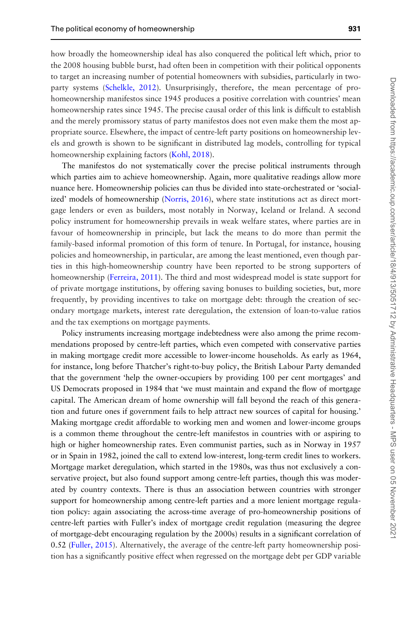how broadly the homeownership ideal has also conquered the political left which, prior to the 2008 housing bubble burst, had often been in competition with their political opponents to target an increasing number of potential homeowners with subsidies, particularly in twoparty systems [\(Schelkle, 2012](#page-23-0)). Unsurprisingly, therefore, the mean percentage of prohomeownership manifestos since 1945 produces a positive correlation with countries' mean homeownership rates since 1945. The precise causal order of this link is difficult to establish and the merely promissory status of party manifestos does not even make them the most appropriate source. Elsewhere, the impact of centre-left party positions on homeownership levels and growth is shown to be significant in distributed lag models, controlling for typical homeownership explaining factors [\(Kohl, 2018](#page-23-0)).

The manifestos do not systematically cover the precise political instruments through which parties aim to achieve homeownership. Again, more qualitative readings allow more nuance here. Homeownership policies can thus be divided into state-orchestrated or 'socialized' models of homeownership ([Norris, 2016](#page-23-0)), where state institutions act as direct mortgage lenders or even as builders, most notably in Norway, Iceland or Ireland. A second policy instrument for homeownership prevails in weak welfare states, where parties are in favour of homeownership in principle, but lack the means to do more than permit the family-based informal promotion of this form of tenure. In Portugal, for instance, housing policies and homeownership, in particular, are among the least mentioned, even though parties in this high-homeownership country have been reported to be strong supporters of homeownership ([Ferreira, 2011\)](#page-22-0). The third and most widespread model is state support for of private mortgage institutions, by offering saving bonuses to building societies, but, more frequently, by providing incentives to take on mortgage debt: through the creation of secondary mortgage markets, interest rate deregulation, the extension of loan-to-value ratios and the tax exemptions on mortgage payments.

Policy instruments increasing mortgage indebtedness were also among the prime recommendations proposed by centre-left parties, which even competed with conservative parties in making mortgage credit more accessible to lower-income households. As early as 1964, for instance, long before Thatcher's right-to-buy policy, the British Labour Party demanded that the government 'help the owner-occupiers by providing 100 per cent mortgages' and US Democrats proposed in 1984 that 'we must maintain and expand the flow of mortgage capital. The American dream of home ownership will fall beyond the reach of this generation and future ones if government fails to help attract new sources of capital for housing.' Making mortgage credit affordable to working men and women and lower-income groups is a common theme throughout the centre-left manifestos in countries with or aspiring to high or higher homeownership rates. Even communist parties, such as in Norway in 1957 or in Spain in 1982, joined the call to extend low-interest, long-term credit lines to workers. Mortgage market deregulation, which started in the 1980s, was thus not exclusively a conservative project, but also found support among centre-left parties, though this was moderated by country contexts. There is thus an association between countries with stronger support for homeownership among centre-left parties and a more lenient mortgage regulation policy: again associating the across-time average of pro-homeownership positions of centre-left parties with Fuller's index of mortgage credit regulation (measuring the degree of mortgage-debt encouraging regulation by the 2000s) results in a significant correlation of 0.52 [\(Fuller, 2015](#page-22-0)). Alternatively, the average of the centre-left party homeownership position has a significantly positive effect when regressed on the mortgage debt per GDP variable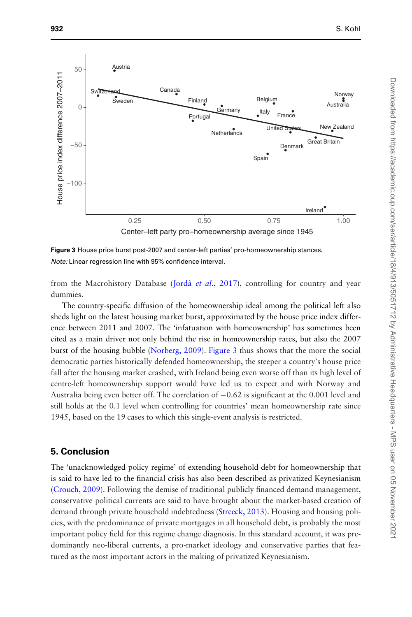

Figure 3 House price burst post-2007 and center-left parties' pro-homeownership stances. Note: Linear regression line with 95% confidence interval.

from the Macrohistory Database (Jordà et al[., 2017\)](#page-22-0), controlling for country and year dummies.

The country-specific diffusion of the homeownership ideal among the political left also sheds light on the latest housing market burst, approximated by the house price index difference between 2011 and 2007. The 'infatuation with homeownership' has sometimes been cited as a main driver not only behind the rise in homeownership rates, but also the 2007 burst of the housing bubble ([Norberg, 2009](#page-23-0)). Figure 3 thus shows that the more the social democratic parties historically defended homeownership, the steeper a country's house price fall after the housing market crashed, with Ireland being even worse off than its high level of centre-left homeownership support would have led us to expect and with Norway and Australia being even better off. The correlation of  $-0.62$  is significant at the 0.001 level and still holds at the 0.1 level when controlling for countries' mean homeownership rate since 1945, based on the 19 cases to which this single-event analysis is restricted.

#### 5. Conclusion

The 'unacknowledged policy regime' of extending household debt for homeownership that is said to have led to the financial crisis has also been described as privatized Keynesianism [\(Crouch, 2009\)](#page-21-0). Following the demise of traditional publicly financed demand management, conservative political currents are said to have brought about the market-based creation of demand through private household indebtedness ([Streeck, 2013](#page-24-0)). Housing and housing policies, with the predominance of private mortgages in all household debt, is probably the most important policy field for this regime change diagnosis. In this standard account, it was predominantly neo-liberal currents, a pro-market ideology and conservative parties that featured as the most important actors in the making of privatized Keynesianism.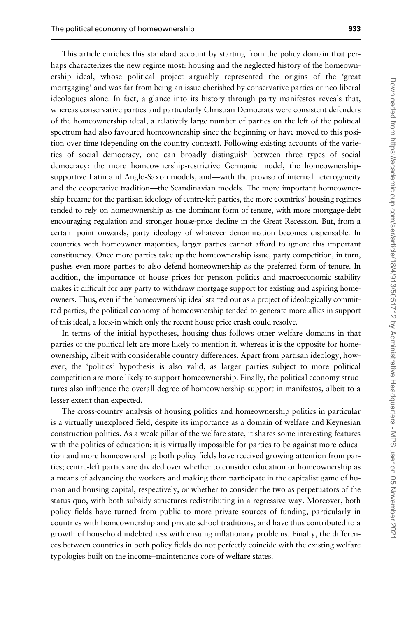This article enriches this standard account by starting from the policy domain that perhaps characterizes the new regime most: housing and the neglected history of the homeownership ideal, whose political project arguably represented the origins of the 'great mortgaging' and was far from being an issue cherished by conservative parties or neo-liberal ideologues alone. In fact, a glance into its history through party manifestos reveals that, whereas conservative parties and particularly Christian Democrats were consistent defenders of the homeownership ideal, a relatively large number of parties on the left of the political spectrum had also favoured homeownership since the beginning or have moved to this position over time (depending on the country context). Following existing accounts of the varieties of social democracy, one can broadly distinguish between three types of social democracy: the more homeownership-restrictive Germanic model, the homeownershipsupportive Latin and Anglo-Saxon models, and—with the proviso of internal heterogeneity and the cooperative tradition—the Scandinavian models. The more important homeownership became for the partisan ideology of centre-left parties, the more countries' housing regimes tended to rely on homeownership as the dominant form of tenure, with more mortgage-debt encouraging regulation and stronger house-price decline in the Great Recession. But, from a certain point onwards, party ideology of whatever denomination becomes dispensable. In countries with homeowner majorities, larger parties cannot afford to ignore this important constituency. Once more parties take up the homeownership issue, party competition, in turn, pushes even more parties to also defend homeownership as the preferred form of tenure. In addition, the importance of house prices for pension politics and macroeconomic stability makes it difficult for any party to withdraw mortgage support for existing and aspiring homeowners. Thus, even if the homeownership ideal started out as a project of ideologically committed parties, the political economy of homeownership tended to generate more allies in support of this ideal, a lock-in which only the recent house price crash could resolve.

In terms of the initial hypotheses, housing thus follows other welfare domains in that parties of the political left are more likely to mention it, whereas it is the opposite for homeownership, albeit with considerable country differences. Apart from partisan ideology, however, the 'politics' hypothesis is also valid, as larger parties subject to more political competition are more likely to support homeownership. Finally, the political economy structures also influence the overall degree of homeownership support in manifestos, albeit to a lesser extent than expected.

The cross-country analysis of housing politics and homeownership politics in particular is a virtually unexplored field, despite its importance as a domain of welfare and Keynesian construction politics. As a weak pillar of the welfare state, it shares some interesting features with the politics of education: it is virtually impossible for parties to be against more education and more homeownership; both policy fields have received growing attention from parties; centre-left parties are divided over whether to consider education or homeownership as a means of advancing the workers and making them participate in the capitalist game of human and housing capital, respectively, or whether to consider the two as perpetuators of the status quo, with both subsidy structures redistributing in a regressive way. Moreover, both policy fields have turned from public to more private sources of funding, particularly in countries with homeownership and private school traditions, and have thus contributed to a growth of household indebtedness with ensuing inflationary problems. Finally, the differences between countries in both policy fields do not perfectly coincide with the existing welfare typologies built on the income–maintenance core of welfare states.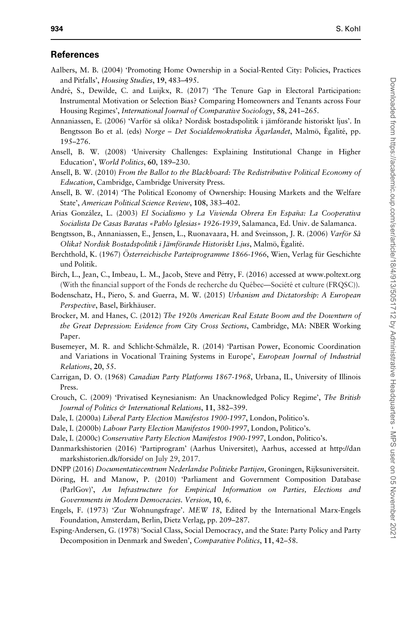#### <span id="page-21-0"></span>References

- Aalbers, M. B. (2004) 'Promoting Home Ownership in a Social-Rented City: Policies, Practices and Pitfalls', Housing Studies, 19, 483–495.
- André, S., Dewilde, C. and Luijkx, R. (2017) 'The Tenure Gap in Electoral Participation: Instrumental Motivation or Selection Bias? Comparing Homeowners and Tenants across Four Housing Regimes', International Journal of Comparative Sociology, 58, 241–265.
- Annaniassen, E. (2006) 'Varför så olika? Nordisk bostadspolitik i jämförande historiskt ljus'. In Bengtsson Bo et al. (eds) Norge – Det Socialdemokratiska Ägarlandet, Malmö, Égalité, pp. 195–276.
- Ansell, B. W. (2008) 'University Challenges: Explaining Institutional Change in Higher Education', World Politics, 60, 189–230.
- Ansell, B. W. (2010) From the Ballot to the Blackboard: The Redistributive Political Economy of Education, Cambridge, Cambridge University Press.
- Ansell, B. W. (2014) 'The Political Economy of Ownership: Housing Markets and the Welfare State', American Political Science Review, 108, 383–402.
- Arias González, L. (2003) El Socialismo y La Vivienda Obrera En España: La Cooperativa Socialista De Casas Baratas «Pablo Iglesias» 1926-1939, Salamanca, Ed. Univ. de Salamanca.
- Bengtsson, B., Annaniassen, E., Jensen, L., Ruonavaara, H. and Sveinsson, J. R. (2006) Varför Så Olika? Nordisk Bostadspolitik i Jämförande Historiskt Ljus, Malmö, Egalité.
- Berchthold, K. (1967) Österreichische Parteiprogramme 1866-1966, Wien, Verlag für Geschichte und Politik.
- Birch, L., Jean, C., Imbeau, L. M., Jacob, Steve and Pétry, F. (2016) accessed at [www.poltext.org](http://www.poltext.org) (With the financial support of the Fonds de recherche du Québec—Société et culture (FRQSC)).
- Bodenschatz, H., Piero, S. and Guerra, M. W. (2015) Urbanism and Dictatorship: A European Perspective, Basel, Birkhäuser.
- Brocker, M. and Hanes, C. (2012) The 1920s American Real Estate Boom and the Downturn of the Great Depression: Evidence from City Cross Sections, Cambridge, MA: NBER Working Paper.
- Busemeyer, M. R. and Schlicht-Schmälzle, R. (2014) 'Partisan Power, Economic Coordination and Variations in Vocational Training Systems in Europe', European Journal of Industrial Relations, 20, 55.
- Carrigan, D. O. (1968) Canadian Party Platforms 1867-1968, Urbana, IL, University of Illinois Press.
- Crouch, C. (2009) 'Privatised Keynesianism: An Unacknowledged Policy Regime', The British Journal of Politics & International Relations, 11, 382-399.
- Dale, I. (2000a) Liberal Party Election Manifestos 1900-1997, London, Politico's.
- Dale, I. (2000b) Labour Party Election Manifestos 1900-1997, London, Politico's.
- Dale, I. (2000c) Conservative Party Election Manifestos 1900-1997, London, Politico's.
- Danmarkshistorien (2016) 'Partiprogram' (Aarhus Universitet), Aarhus, accessed at [http://dan](http://danmarkshistorien.dk/forside/) [markshistorien.dk/forside/](http://danmarkshistorien.dk/forside/) on July 29, 2017.
- DNPP (2016) Documentatiecentrum Nederlandse Politieke Partijen, Groningen, Rijksuniversiteit.
- Döring, H. and Manow, P. (2010) 'Parliament and Government Composition Database (ParlGov)', An Infrastructure for Empirical Information on Parties, Elections and Governments in Modern Democracies. Version, 10, 6.
- Engels, F. (1973) 'Zur Wohnungsfrage'. MEW 18, Edited by the International Marx-Engels Foundation, Amsterdam, Berlin, Dietz Verlag, pp. 209–287.
- Esping-Andersen, G. (1978) 'Social Class, Social Democracy, and the State: Party Policy and Party Decomposition in Denmark and Sweden', Comparative Politics, 11, 42–58.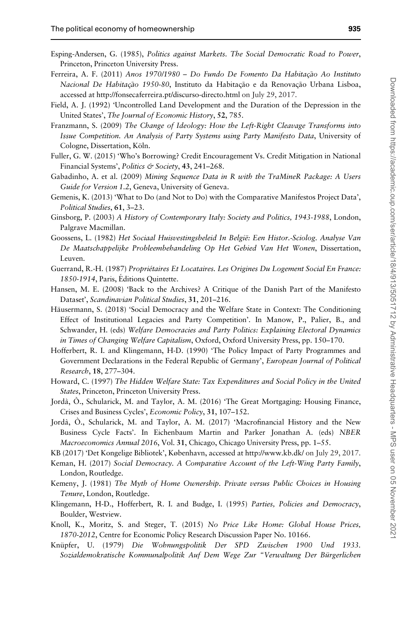- 
- <span id="page-22-0"></span>Esping-Andersen, G. (1985), Politics against Markets. The Social Democratic Road to Power, Princeton, Princeton University Press.
- Ferreira, A. F. (2011) Anos 1970/1980 Do Fundo De Fomento Da Habitação Ao Instituto Nacional De Habitação 1950-80, Instituto da Habitação e da Renovação Urbana Lisboa, accessed at<http://fonsecaferreira.pt/discurso-directo.html> on July 29, 2017.
- Field, A. J. (1992) 'Uncontrolled Land Development and the Duration of the Depression in the United States', The Journal of Economic History, 52, 785.
- Franzmann, S. (2009) The Change of Ideology: How the Left-Right Cleavage Transforms into Issue Competition. An Analysis of Party Systems using Party Manifesto Data, University of Cologne, Dissertation, Köln.
- Fuller, G. W. (2015) 'Who's Borrowing? Credit Encouragement Vs. Credit Mitigation in National Financial Systems', Politics & Society, 43, 241-268.
- Gabadinho, A. et al. (2009) Mining Sequence Data in R with the TraMineR Package: A Users Guide for Version 1.2, Geneva, University of Geneva.
- Gemenis, K. (2013) 'What to Do (and Not to Do) with the Comparative Manifestos Project Data', Political Studies, 61, 3–23.
- Ginsborg, P. (2003) A History of Contemporary Italy: Society and Politics, 1943-1988, London, Palgrave Macmillan.
- Goossens, L. (1982) Het Sociaal Huisvestingsbeleid In België: Een Histor.-Sciolog. Analyse Van De Maatschappelijke Probleembehandeling Op Het Gebied Van Het Wonen, Dissertation, Leuven.
- Guerrand, R.-H. (1987) Propriétaires Et Locataires. Les Origines Du Logement Social En France: 1850-1914, Paris, Editions Quintette.
- Hansen, M. E. (2008) 'Back to the Archives? A Critique of the Danish Part of the Manifesto Dataset', Scandinavian Political Studies, 31, 201–216.
- Häusermann, S. (2018) 'Social Democracy and the Welfare State in Context: The Conditioning Effect of Institutional Legacies and Party Competition'. In Manow, P., Palier, B., and Schwander, H. (eds) Welfare Democracies and Party Politics: Explaining Electoral Dynamics in Times of Changing Welfare Capitalism, Oxford, Oxford University Press, pp. 150–170.
- Hofferbert, R. I. and Klingemann, H-D. (1990) 'The Policy Impact of Party Programmes and Government Declarations in the Federal Republic of Germany', *European Journal of Political* Research, 18, 277–304.
- Howard, C. (1997) The Hidden Welfare State: Tax Expenditures and Social Policy in the United States, Princeton, Princeton University Press.
- Jordà, Ò., Schularick, M. and Taylor, A. M. (2016) 'The Great Mortgaging: Housing Finance, Crises and Business Cycles', Economic Policy, 31, 107–152.
- Jordà, O., Schularick, M. and Taylor, A. M. (2017) 'Macrofinancial History and the New Business Cycle Facts'. In Eichenbaum Martin and Parker Jonathan A. (eds) NBER Macroeconomics Annual 2016, Vol. 31, Chicago, Chicago University Press, pp. 1–55.
- KB (2017) 'Det Kongelige Bibliotek', København, accessed at<http://www.kb.dk/> on July 29, 2017.
- Keman, H. (2017) Social Democracy. A Comparative Account of the Left-Wing Party Family, London, Routledge.
- Kemeny, J. (1981) The Myth of Home Ownership. Private versus Public Choices in Housing Tenure, London, Routledge.
- Klingemann, H-D., Hofferbert, R. I. and Budge, I. (1995) Parties, Policies and Democracy, Boulder, Westview.
- Knoll, K., Moritz, S. and Steger, T. (2015) No Price Like Home: Global House Prices, 1870-2012, Centre for Economic Policy Research Discussion Paper No. 10166.
- Knüpfer, U. (1979) Die Wohnungspolitik Der SPD Zwischen 1900 Und 1933. Sozialdemokratische Kommunalpolitik Auf Dem Wege Zur "Verwaltung Der Bürgerlichen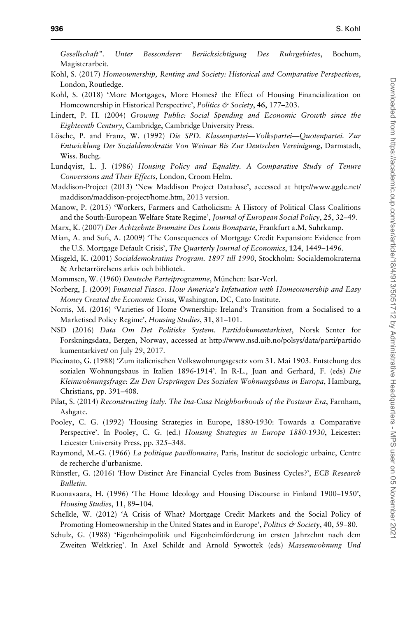<span id="page-23-0"></span>Gesellschaft". Unter Bessonderer Berücksichtigung Des Ruhrgebietes, Bochum, Magisterarbeit.

- Kohl, S. (2017) Homeownership, Renting and Society: Historical and Comparative Perspectives, London, Routledge.
- Kohl, S. (2018) 'More Mortgages, More Homes? the Effect of Housing Financialization on Homeownership in Historical Perspective', Politics & Society, 46, 177-203.
- Lindert, P. H. (2004) Growing Public: Social Spending and Economic Growth since the Eighteenth Century, Cambridge, Cambridge University Press.
- Lösche, P. and Franz, W. (1992) Die SPD. Klassenpartei—Volkspartei—Quotenpartei. Zur Entwicklung Der Sozialdemokratie Von Weimar Bis Zur Deutschen Vereinigung, Darmstadt, Wiss. Buchg.
- Lundqvist, L. J. (1986) Housing Policy and Equality. A Comparative Study of Tenure Conversions and Their Effects, London, Croom Helm.
- Maddison-Project (2013) 'New Maddison Project Database', accessed at [http://www.ggdc.net/](http://www.ggdc.net/maddison/maddison-project/home.htm) [maddison/maddison-project/home.htm](http://www.ggdc.net/maddison/maddison-project/home.htm), 2013 version.
- Manow, P. (2015) 'Workers, Farmers and Catholicism: A History of Political Class Coalitions and the South-European Welfare State Regime', Journal of European Social Policy, 25, 32-49.
- Marx, K. (2007) Der Achtzehnte Brumaire Des Louis Bonaparte, Frankfurt a.M, Suhrkamp.
- Mian, A. and Sufi, A. (2009) 'The Consequences of Mortgage Credit Expansion: Evidence from the U.S. Mortgage Default Crisis', The Quarterly Journal of Economics, 124, 1449–1496.
- Misgeld, K. (2001) Socialdemokratins Program. 1897 till 1990, Stockholm: Socialdemokraterna & Arbetarrörelsens arkiv och bibliotek.
- Mommsen, W. (1960) Deutsche Parteiprogramme, München: Isar-Verl.
- Norberg, J. (2009) Financial Fiasco. How America's Infatuation with Homeownership and Easy Money Created the Economic Crisis, Washington, DC, Cato Institute.
- Norris, M. (2016) 'Varieties of Home Ownership: Ireland's Transition from a Socialised to a Marketised Policy Regime', Housing Studies, 31, 81–101.
- NSD (2016) Data Om Det Politiske System. Partidokumentarkivet, Norsk Senter for Forskningsdata, Bergen, Norway, accessed at [http://www.nsd.uib.no/polsys/data/parti/partido](http://www.nsd.uib.no/polsys/data/parti/partidokumentarkivet/) [kumentarkivet/](http://www.nsd.uib.no/polsys/data/parti/partidokumentarkivet/) on July 29, 2017.
- Piccinato, G. (1988) 'Zum italienischen Volkswohnungsgesetz vom 31. Mai 1903. Entstehung des sozialen Wohnungsbaus in Italien 1896-1914'. In R-L., Juan and Gerhard, F. (eds) Die Kleinwohnungsfrage: Zu Den Ursprüngen Des Sozialen Wohnungsbaus in Europa, Hamburg, Christians, pp. 391–408.
- Pilat, S. (2014) Reconstructing Italy. The Ina-Casa Neighborhoods of the Postwar Era, Farnham, Ashgate.
- Pooley, C. G. (1992) 'Housing Strategies in Europe, 1880-1930: Towards a Comparative Perspective'. In Pooley, C. G. (ed.) Housing Strategies in Europe 1880-1930, Leicester: Leicester University Press, pp. 325–348.
- Raymond, M.-G. (1966) La politique pavillonnaire, Paris, Institut de sociologie urbaine, Centre de recherche d'urbanisme.
- Rünstler, G. (2016) 'How Distinct Are Financial Cycles from Business Cycles?', ECB Research Bulletin.
- Ruonavaara, H. (1996) 'The Home Ideology and Housing Discourse in Finland 1900–1950', Housing Studies, 11, 89–104.
- Schelkle, W. (2012) 'A Crisis of What? Mortgage Credit Markets and the Social Policy of Promoting Homeownership in the United States and in Europe', Politics & Society, 40, 59-80.
- Schulz, G. (1988) 'Eigenheimpolitik und Eigenheimförderung im ersten Jahrzehnt nach dem Zweiten Weltkrieg'. In Axel Schildt and Arnold Sywottek (eds) Massenwohnung Und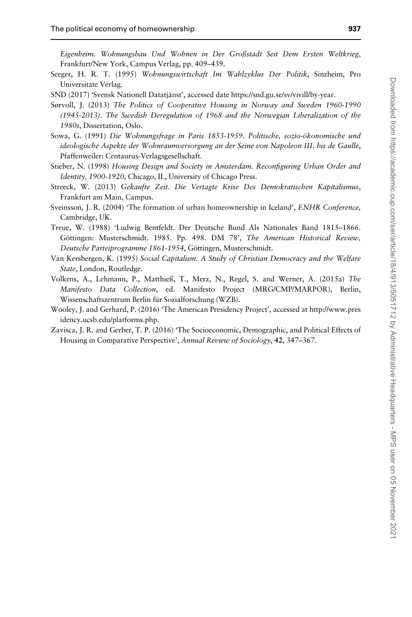<span id="page-24-0"></span>Eigenheim. Wohnungsbau Und Wohnen in Der Großstadt Seit Dem Ersten Weltkrieg, Frankfurt/New York, Campus Verlag, pp. 409–439.

- Seeger, H. R. T. (1995) Wohnungswirtschaft Im Wahlzyklus Der Politik, Sinzheim, Pro Universitate Verlag.
- SND (2017) 'Svensk Nationell Datatjänst', accessed date [https://snd.gu.se/sv/vivill/by-year.](https://snd.gu.se/sv/vivill/by-year)
- Sørvoll, J. (2013) The Politics of Cooperative Housing in Norway and Sweden 1960-1990 (1945-2013). The Swedish Deregulation of 1968 and the Norwegian Liberalization of the 1980s, Dissertation, Oslo.
- Sowa, G. (1991) Die Wohnungsfrage in Paris 1853-1959. Politische, sozio-ökonomische und ideologische Aspekte der Wohnraumversorgung an der Seine von Napoleon III. bis de Gaulle, Pfaffenweiler: Centaurus-Verlagsgesellschaft.
- Stieber, N. (1998) Housing Design and Society in Amsterdam. Reconfiguring Urban Order and Identity, 1900-1920, Chicago, IL, University of Chicago Press.
- Streeck, W. (2013) Gekaufte Zeit. Die Vertagte Krise Des Demokratischen Kapitalismus, Frankfurt am Main, Campus.
- Sveinsson, J. R. (2004) 'The formation of urban homeownership in Iceland', ENHR Conference, Cambridge, UK.
- Treue, W. (1988) 'Ludwig Bentfeldt. Der Deutsche Bund Als Nationales Band 1815–1866. Göttingen: Musterschmidt. 1985. Pp. 498. DM 78', The American Historical Review, Deutsche Parteiprogramme 1861-1954, Göttingen, Musterschmidt.
- Van Kersbergen, K. (1995) Social Capitalism. A Study of Christian Democracy and the Welfare State, London, Routledge.
- Volkens, A., Lehmann, P., Matthieß, T., Merz, N., Regel, S. and Werner, A. (2015a) The Manifesto Data Collection, ed. Manifesto Project (MRG/CMP/MARPOR), Berlin, Wissenschaftszentrum Berlin für Sozialforschung (WZB).
- Wooley, J. and Gerhard, P. (2016) 'The American Presidency Project', accessed at [http://www.pres](http://www.presidency.ucsb.edu/platforms.php) [idency.ucsb.edu/platforms.php.](http://www.presidency.ucsb.edu/platforms.php)
- Zavisca, J. R. and Gerber, T. P. (2016) 'The Socioeconomic, Demographic, and Political Effects of Housing in Comparative Perspective', Annual Review of Sociology, 42, 347–367.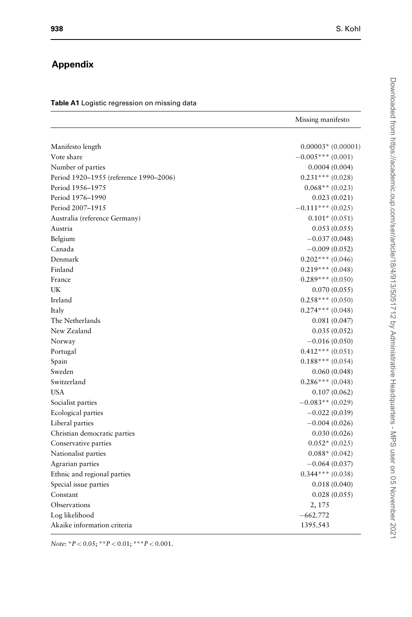Missing manifesto

# <span id="page-25-0"></span>Appendix

#### Table A1 Logistic regression on missing data

| Manifesto length                       | $0.00003*$ (0.00001) |
|----------------------------------------|----------------------|
| Vote share                             | $-0.005***(0.001)$   |
| Number of parties                      | 0.0004(0.004)        |
| Period 1920-1955 (reference 1990-2006) | $0.231***(0.028)$    |
| Period 1956-1975                       | $0.068**$ (0.023)    |
| Period 1976-1990                       | 0.023(0.021)         |
| Period 2007-1915                       | $-0.111***$ (0.025)  |
| Australia (reference Germany)          | $0.101*$ (0.051)     |
| Austria                                | 0.053(0.055)         |
| Belgium                                | $-0.037(0.048)$      |
| Canada                                 | $-0.009(0.052)$      |
| Denmark                                | $0.202$ *** (0.046)  |
| Finland                                | $0.219***(0.048)$    |
| France                                 | $0.289***(0.050)$    |
| UK                                     | 0.070(0.055)         |
| Ireland                                | $0.258***(0.050)$    |
| Italy                                  | $0.274***(0.048)$    |
| The Netherlands                        | 0.081(0.047)         |
| New Zealand                            | 0.035(0.052)         |
| Norway                                 | $-0.016(0.050)$      |
| Portugal                               | $0.412***(0.051)$    |
| Spain                                  | $0.188***(0.054)$    |
| Sweden                                 | 0.060(0.048)         |
| Switzerland                            | $0.286***(0.048)$    |
| <b>USA</b>                             | 0.107(0.062)         |
| Socialist parties                      | $-0.083**$ (0.029)   |
| Ecological parties                     | $-0.022(0.039)$      |
| Liberal parties                        | $-0.004(0.026)$      |
| Christian democratic parties           | 0.030(0.026)         |
| Conservative parties                   | $0.052*(0.025)$      |
| Nationalist parties                    | $0.088*$ (0.042)     |
| Agrarian parties                       | $-0.064(0.037)$      |
| Ethnic and regional parties            | $0.344$ *** (0.038)  |
| Special issue parties                  | 0.018(0.040)         |
| Constant                               | 0.028(0.055)         |
| Observations                           | 2, 175               |
| Log likelihood                         | $-662.772$           |
| Akaike information criteria            | 1395.543             |

Note:  ${}^*P < 0.05$ ;  ${}^{**}P < 0.01$ ;  ${}^{***}P < 0.001$ .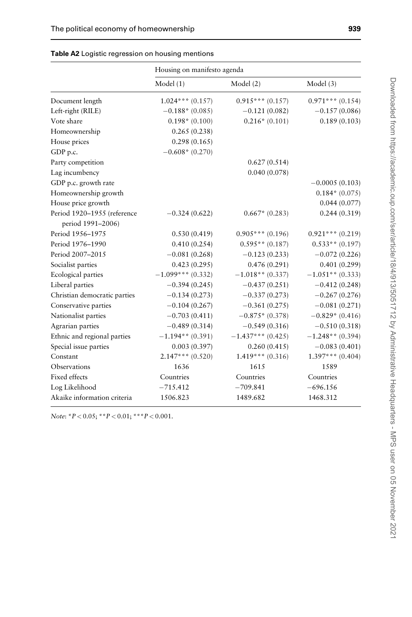|                                                  | Housing on manifesto agenda |                     |                    |  |
|--------------------------------------------------|-----------------------------|---------------------|--------------------|--|
|                                                  | Model(1)                    | Model (2)           | Model (3)          |  |
| Document length                                  | $1.024***(0.157)$           | $0.915***(0.157)$   | $0.971***$ (0.154) |  |
| Left-right (RILE)                                | $-0.188*$ (0.085)           | $-0.121(0.082)$     | $-0.157(0.086)$    |  |
| Vote share                                       | $0.198*(0.100)$             | $0.216*(0.101)$     | 0.189(0.103)       |  |
| Homeownership                                    | 0.265(0.238)                |                     |                    |  |
| House prices                                     | 0.298(0.165)                |                     |                    |  |
| GDP p.c.                                         | $-0.608*(0.270)$            |                     |                    |  |
| Party competition                                |                             | 0.627(0.514)        |                    |  |
| Lag incumbency                                   |                             | 0.040(0.078)        |                    |  |
| GDP p.c. growth rate                             |                             |                     | $-0.0005(0.103)$   |  |
| Homeownership growth                             |                             |                     | $0.184*(0.075)$    |  |
| House price growth                               |                             |                     | 0.044(0.077)       |  |
| Period 1920-1955 (reference<br>period 1991-2006) | $-0.324(0.622)$             | $0.667*$ (0.283)    | 0.244(0.319)       |  |
| Period 1956-1975                                 | 0.530(0.419)                | $0.905***(0.196)$   | $0.921***(0.219)$  |  |
| Period 1976-1990                                 | 0.410(0.254)                | $0.595**$ (0.187)   | $0.533**$ (0.197)  |  |
| Period 2007-2015                                 | $-0.081(0.268)$             | $-0.123(0.233)$     | $-0.072(0.226)$    |  |
| Socialist parties                                | 0.423(0.295)                | 0.476(0.291)        | 0.401(0.299)       |  |
| Ecological parties                               | $-1.099***$ (0.332)         | $-1.018**$ (0.337)  | $-1.051**$ (0.333) |  |
| Liberal parties                                  | $-0.394(0.245)$             | $-0.437(0.251)$     | $-0.412(0.248)$    |  |
| Christian democratic parties                     | $-0.134(0.273)$             | $-0.337(0.273)$     | $-0.267(0.276)$    |  |
| Conservative parties                             | $-0.104(0.267)$             | $-0.361(0.275)$     | $-0.081(0.271)$    |  |
| Nationalist parties                              | $-0.703(0.411)$             | $-0.875*(0.378)$    | $-0.829*(0.416)$   |  |
| Agrarian parties                                 | $-0.489(0.314)$             | $-0.549(0.316)$     | $-0.510(0.318)$    |  |
| Ethnic and regional parties                      | $-1.194**$ (0.391)          | $-1.437***$ (0.425) | $-1.248**$ (0.394) |  |
| Special issue parties                            | 0.003(0.397)                | 0.260(0.415)        | $-0.083(0.401)$    |  |
| Constant                                         | $2.147***(0.520)$           | $1.419***(0.316)$   | $1.397***$ (0.404) |  |
| Observations                                     | 1636                        | 1615                | 1589               |  |
| Fixed effects                                    | Countries                   | Countries           | Countries          |  |
| Log Likelihood                                   | $-715.412$                  | $-709.841$          | $-696.156$         |  |
| Akaike information criteria                      | 1506.823                    | 1489.682            | 1468.312           |  |

|  |  | Table A2 Logistic regression on housing mentions |  |  |  |
|--|--|--------------------------------------------------|--|--|--|
|--|--|--------------------------------------------------|--|--|--|

Note:  ${}^*P < 0.05$ ;  ${}^{**}P < 0.01$ ;  ${}^{**}P < 0.001$ .